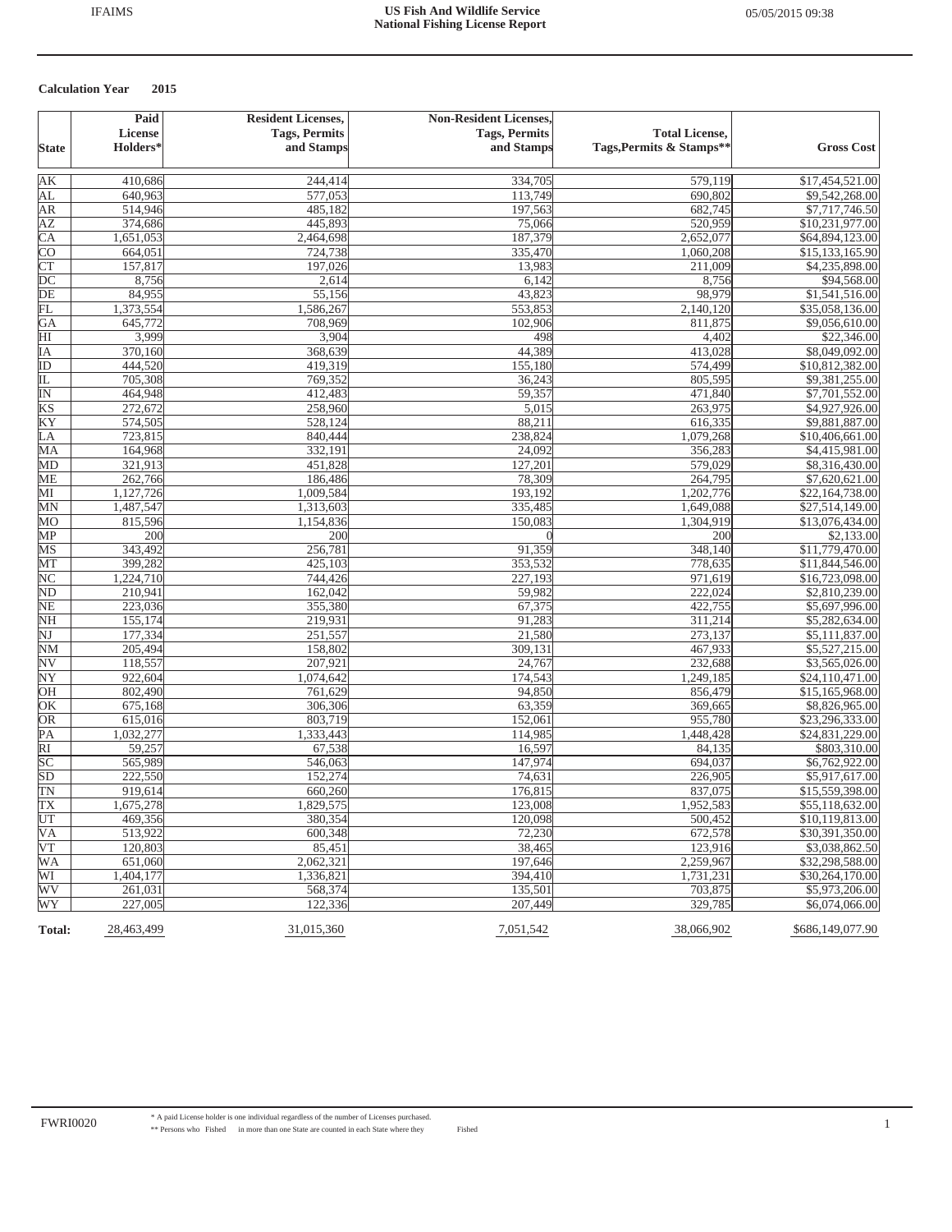|                             | Paid       | <b>Resident Licenses,</b> | <b>Non-Resident Licenses,</b> |                          |                   |
|-----------------------------|------------|---------------------------|-------------------------------|--------------------------|-------------------|
|                             | License    | <b>Tags, Permits</b>      | <b>Tags, Permits</b>          | <b>Total License,</b>    |                   |
| <b>State</b>                | Holders*   | and Stamps                | and Stamps                    | Tags, Permits & Stamps** | <b>Gross Cost</b> |
| AK                          | 410,686    | 244,414                   | 334,705                       | 579,119                  | \$17,454,521.00   |
| AL                          | 640,963    | 577,053                   | 113,749                       | 690,802                  | \$9,542,268.00    |
| AR                          | 514,946    | 485,182                   | 197,563                       | 682,745                  | \$7,717,746.50    |
| ΑZ                          | 374,686    | 445,893                   | 75,066                        | 520,959                  | \$10,231,977.00   |
| $\overline{\text{CA}}$      | 1,651,053  | 2,464,698                 | 187,379                       | 2,652,077                | \$64,894,123.00   |
| <b>CO</b>                   | 664,051    | 724,738                   | 335,470                       | 1,060,208                | \$15,133,165.90   |
| $\overline{\text{CT}}$      | 157,817    | 197,026                   | 13,983                        | 211,009                  | \$4,235,898.00    |
| $\overline{DC}$             | 8,756      | 2,614                     | 6,142                         | 8,756                    | \$94,568.00       |
| $\overline{DE}$             | 84,955     | 55,156                    | 43,823                        | 98,979                   | \$1,541,516.00    |
| FL                          | 1,373,554  | 1,586,267                 | 553,853                       | 2,140,120                | \$35,058,136.00   |
| GA                          | 645,772    | 708,969                   | 102,906                       | 811,875                  | \$9,056,610.00    |
| $\overline{H}$              | 3,999      | 3,904                     | 498                           | 4,402                    | \$22,346.00       |
| IA                          | 370,160    | 368,639                   | 44,389                        | 413,028                  | \$8,049,092.00    |
| ID                          | 444,520    | 419,319                   | 155,180                       | 574,499                  | \$10,812,382.00   |
| IL                          | 705,308    | 769,352                   | 36,243                        | 805,595                  | \$9,381,255.00    |
| $\overline{\mathbb{N}}$     | 464,948    | 412,483                   | 59,357                        | 471,840                  | \$7,701,552.00    |
| KS                          | 272,672    | 258,960                   | 5,015                         | 263,975                  | \$4,927,926.00    |
| KY                          | 574,505    | 528,124                   | 88,211                        | 616,335                  | \$9,881,887.00    |
| $\overline{L}\underline{A}$ | 723,815    | 840,444                   | 238,824                       | 1,079,268                | \$10,406,661.00   |
| MA                          | 164,968    | 332,191                   | 24,092                        | 356,283                  | \$4,415,981.00    |
| MD                          | 321,913    | 451,828                   | 127,201                       | 579,029                  | \$8,316,430.00    |
| ME                          | 262,766    | 186,486                   | 78,309                        | 264,795                  | \$7,620,621.00    |
| MI                          | 1,127,726  | 1,009,584                 | 193.192                       | 1,202,776                | \$22,164,738.00   |
| MN                          | 1,487,547  | 1,313,603                 | 335,485                       | 1,649,088                | \$27,514,149.00   |
| MO                          | 815,596    | 1,154,836                 | 150,083                       | 1,304,919                | \$13,076,434.00   |
| MP                          | 200        | 200                       |                               | 200                      | \$2,133.00        |
| MS                          | 343,492    | 256,781                   | 91,359                        | 348,140                  | \$11,779,470.00   |
| MT                          | 399,282    | 425,103                   | 353,532                       | 778,635                  | \$11,844,546.00   |
| $\overline{\text{NC}}$      | 1,224,710  | 744,426                   | 227,193                       | 971,619                  | \$16,723,098.00   |
| ND                          | 210,941    | 162,042                   | 59,982                        | 222,024                  | \$2,810,239.00    |
| <b>NE</b>                   | 223,036    | 355,380                   | 67,375                        | 422,755                  | \$5,697,996.00    |
| NH                          | 155,174    | 219,931                   | 91,283                        | 311,214                  | \$5,282,634.00    |
| NJ                          | 177,334    | 251,557                   | 21,580                        | 273,137                  | \$5,111,837.00    |
| <b>NM</b>                   | 205,494    | 158,802                   | 309,131                       | 467,933                  | \$5,527,215.00    |
| $_{\rm NV}$                 | 118,557    | 207,921                   | 24,767                        | 232,688                  | \$3,565,026.00    |
| NY                          | 922,604    | 1,074,642                 | 174,543                       | 1,249,185                | \$24,110,471.00   |
| OH                          | 802,490    | 761,629                   | 94,850                        | 856,479                  | \$15,165,968.00   |
| $\overline{\text{OK}}$      | 675,168    | 306,306                   | 63,359                        | 369,665                  | \$8,826,965.00    |
| OR                          | 615,016    | 803,719                   | 152,061                       | 955,780                  | \$23,296,333.00   |
| PA                          | 1,032,277  | 1,333,443                 | 114,985                       | 1,448,428                | \$24,831,229.00   |
| $\overline{RI}$             | 59,257     | 67,538                    | 16,597                        | 84,135                   | \$803,310.00      |
| $\overline{SC}$             | 565,989    | 546,063                   | 147,974                       | 694,037                  | \$6,762,922.00    |
| SD                          | 222,550    | 152,274                   | 74,631                        | 226,905                  | \$5,917,617.00    |
| $\overline{\text{TN}}$      | 919.614    | 660,260                   | 176,815                       | 837,075                  | \$15,559,398.00   |
| TX                          | 1,675,278  | 1,829,575                 | 123,008                       | 1,952,583                | \$55,118,632.00   |
| UT                          | 469,356    | 380,354                   | 120.098                       | 500,452                  | \$10,119,813.00   |
| <b>VA</b>                   | 513,922    | 600,348                   | 72,230                        | 672,578                  | \$30,391,350.00   |
| <b>VT</b>                   | 120,803    | 85,451                    | 38,465                        | 123,916                  | \$3,038,862.50    |
| <b>WA</b>                   | 651,060    | 2,062,321                 | 197,646                       | 2,259,967                | \$32,298,588.00   |
| WI                          | 1,404,177  | 1,336,821                 | 394,410                       | 1,731,231                | \$30,264,170.00   |
| WV                          | 261,031    | 568,374                   | 135,501                       | 703,875                  | \$5,973,206.00    |
| WY                          | 227,005    | 122,336                   | 207,449                       | 329,785                  | \$6,074,066.00    |
| <b>Total:</b>               | 28,463,499 | 31,015,360                | 7,051,542                     | 38,066,902               | \$686,149,077.90  |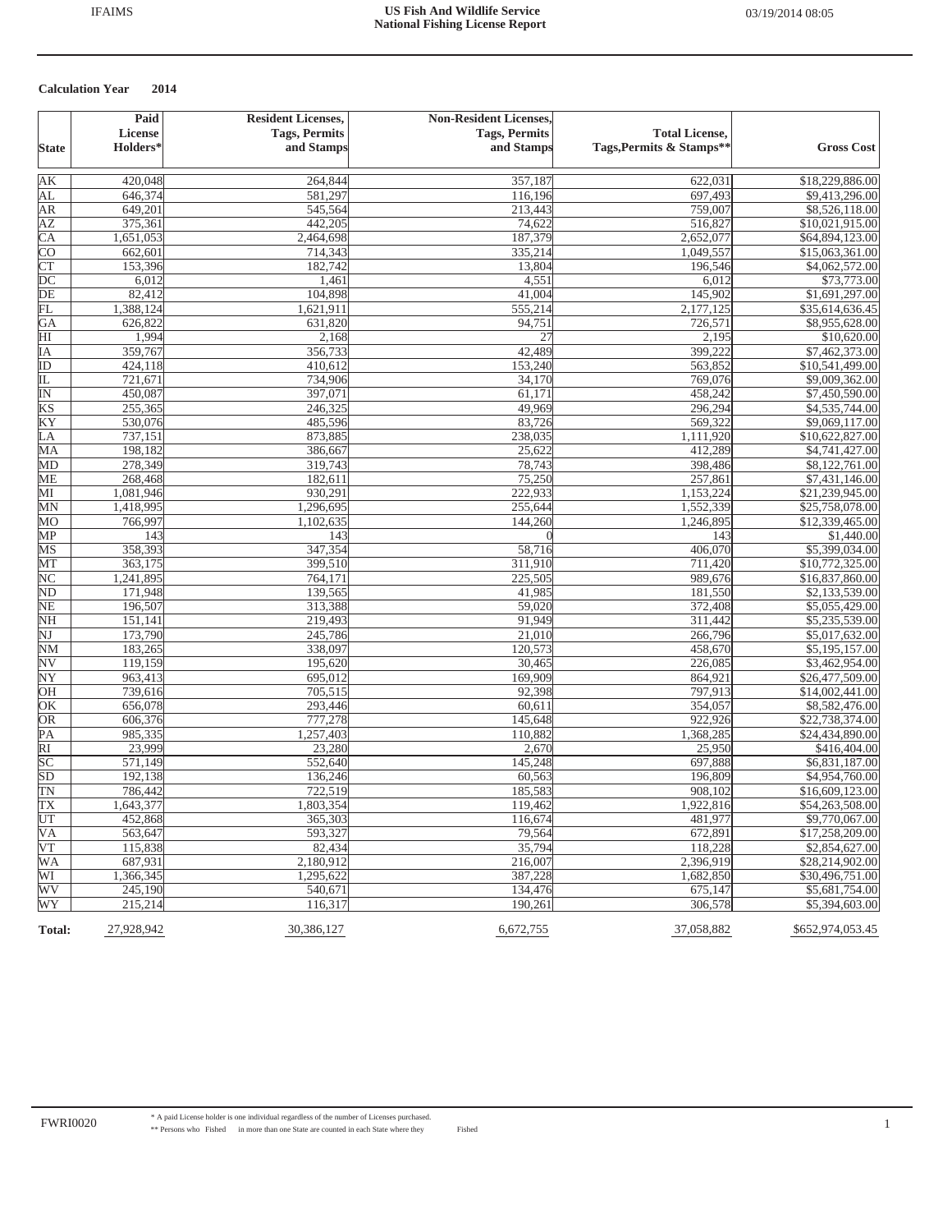|                               | Paid                | <b>Resident Licenses,</b><br><b>Tags, Permits</b> | <b>Non-Resident Licenses,</b><br><b>Tags, Permits</b> | <b>Total License,</b>    |                   |
|-------------------------------|---------------------|---------------------------------------------------|-------------------------------------------------------|--------------------------|-------------------|
| <b>State</b>                  | License<br>Holders* | and Stamps                                        | and Stamps                                            | Tags, Permits & Stamps** | <b>Gross Cost</b> |
| AК                            | 420,048             | 264,844                                           | 357,187                                               | 622,031                  | \$18,229,886.00   |
| AL                            | 646,374             | 581,297                                           | 116,196                                               | 697,493                  | \$9,413,296.00    |
| AR                            | 649,201             | 545,564                                           | 213,443                                               | 759,007                  | \$8,526,118.00    |
| <b>AZ</b>                     | 375,361             | 442,205                                           | 74,622                                                | 516,827                  | \$10,021,915.00   |
| $\overline{CA}$               | 1,651,053           | 2,464,698                                         | 187,379                                               | 2,652,077                | \$64,894,123.00   |
| $\overline{\text{co}}$        | 662,601             | 714,343                                           | 335,214                                               | 1,049,557                | \$15,063,361.00   |
| CT                            | 153,396             | 182,742                                           | 13,804                                                | 196,546                  | \$4,062,572.00    |
| $\overline{DC}$               | 6,012               | 1,461                                             | 4,551                                                 | 6,012                    | \$73,773.00       |
| $\overline{DE}$               | 82,412              | 104,898                                           | 41,004                                                | 145,902                  | \$1,691,297.00    |
| FL                            | 1,388,124           | 1,621,911                                         | 555,214                                               | 2,177,125                | \$35,614,636.45   |
| GA                            | 626,822             | 631,820                                           | 94,751                                                | 726,571                  | \$8,955,628.00    |
| $\overline{H}$                | 1,994               | 2,168                                             | 27                                                    | 2,195                    | \$10,620.00       |
| IΑ                            | 359,767             | 356,733                                           | 42,489                                                | 399,222                  | \$7,462,373.00    |
| ID                            | 424,118             | 410,612                                           | 153,240                                               | 563,852                  | \$10,541,499.00   |
| 正                             | 721,671             | 734,906                                           | 34,170                                                | 769,076                  | \$9,009,362.00    |
| $\overline{\mathbb{N}}$       | 450,087             | 397,071                                           | 61,171                                                | 458,242                  | \$7,450,590.00    |
| KS                            | 255,365             | 246,325                                           | 49,969                                                | 296,294                  | \$4,535,744.00    |
| KY                            | 530,076             | 485,596                                           | 83,726                                                | 569,322                  | \$9,069,117.00    |
| LA                            | 737,151             | 873,885                                           | 238,035                                               | 1,111,920                | \$10,622,827.00   |
| MA                            | 198,182             | 386,667                                           | 25,622                                                | 412,289                  | \$4,741,427.00    |
| MD                            | 278,349             | 319,743                                           | 78,743                                                | 398,486                  | \$8,122,761.00    |
| <b>ME</b>                     | 268,468             | 182,611                                           | 75,250                                                | 257,861                  | \$7,431,146.00    |
| MI                            | 1,081,946           | 930,291                                           | 222,933                                               | 1,153,224                | \$21,239,945.00   |
| MN                            | 1,418,995           | 1,296,695                                         | 255,644                                               | 1,552,339                | \$25,758,078.00   |
| MO                            | 766,997             | 1,102,635                                         | 144,260                                               | 1,246,895                | \$12,339,465.00   |
| MP                            | 143                 | 143                                               | $\Omega$                                              | 143                      | \$1,440.00        |
| MS                            | 358,393             | 347,354                                           | 58,716                                                | 406,070                  | \$5,399,034.00    |
| MT                            | 363,175             | 399,510                                           | 311,910                                               | 711,420                  | \$10,772,325.00   |
| $\overline{\text{NC}}$        | 1,241,895           | 764,171                                           | 225,505                                               | 989,676                  | \$16,837,860.00   |
|                               | 171,948             | 139,565                                           | 41,985                                                | 181,550                  | \$2,133,539.00    |
| $\frac{\text{ND}}{\text{NE}}$ | 196,507             | 313,388                                           | 59,020                                                | 372,408                  | \$5,055,429.00    |
| $\overline{\text{NH}}$        | 151,141             | 219,493                                           | 91,949                                                | 311,442                  | \$5,235,539.00    |
| $\overline{\text{NJ}}$        | 173,790             | 245,786                                           | 21,010                                                | 266,796                  | \$5,017,632.00    |
| $\overline{\text{NM}}$        | 183,265             | 338,097                                           | 120,573                                               | 458,670                  | \$5,195,157.00    |
| $\overline{\textrm{NV}}$      | 119,159             | 195,620                                           | 30,465                                                | 226,085                  | \$3,462,954.00    |
| NY                            | 963,413             | 695,012                                           | 169,909                                               | 864,921                  | \$26,477,509.00   |
| OH                            | 739,616             | 705,515                                           | 92,398                                                | 797,913                  | \$14,002,441.00   |
| OK                            | 656,078             | 293,446                                           | 60,611                                                | 354,057                  | \$8,582,476.00    |
| OR                            | 606,376             | 777,278                                           | 145,648                                               | 922,926                  | \$22,738,374.00   |
| $\overline{PA}$               | 985,335             | 1,257,403                                         | 110,882                                               | 1,368,285                | \$24,434,890.00   |
| $\overline{RI}$               | 23,999              | 23,280                                            | 2,670                                                 | 25,950                   | \$416,404.00      |
| $\overline{SC}$               | 571,149             | 552,640                                           | 145,248                                               | 697,888                  | \$6,831,187.00    |
| SD                            | 192,138             | 136,246                                           | 60,563                                                | 196,809                  | \$4,954,760.00    |
| TN                            | 786,442             | 722,519                                           | 185,583                                               | 908,102                  | \$16,609,123.00   |
| $\overline{TX}$               | 1,643,377           | 1,803,354                                         | 119,462                                               | 1,922,816                | \$54,263,508.00   |
| UT                            | 452,868             | 365,303                                           | 116,674                                               | 481,977                  | \$9,770,067.00    |
| <b>VA</b>                     | 563,647             | 593,327                                           | 79,564                                                | 672,891                  | \$17,258,209.00   |
| $\overline{\text{VT}}$        | 115,838             | 82.434                                            | 35,794                                                | 118,228                  | \$2,854,627.00    |
| <b>WA</b>                     | 687,931             | 2,180,912                                         | 216,007                                               | 2,396,919                | \$28,214,902.00   |
| WI                            | 1,366,345           | 1,295,622                                         | 387,228                                               | 1,682,850                | \$30,496,751.00   |
| WV                            | 245,190             | 540,671                                           | 134,476                                               | 675,147                  | \$5,681,754.00    |
| WY                            | 215,214             | 116,317                                           | 190,261                                               | 306,578                  | \$5,394,603.00    |
| Total:                        | 27,928,942          | 30,386,127                                        | 6,672,755                                             | 37,058,882               | \$652,974,053.45  |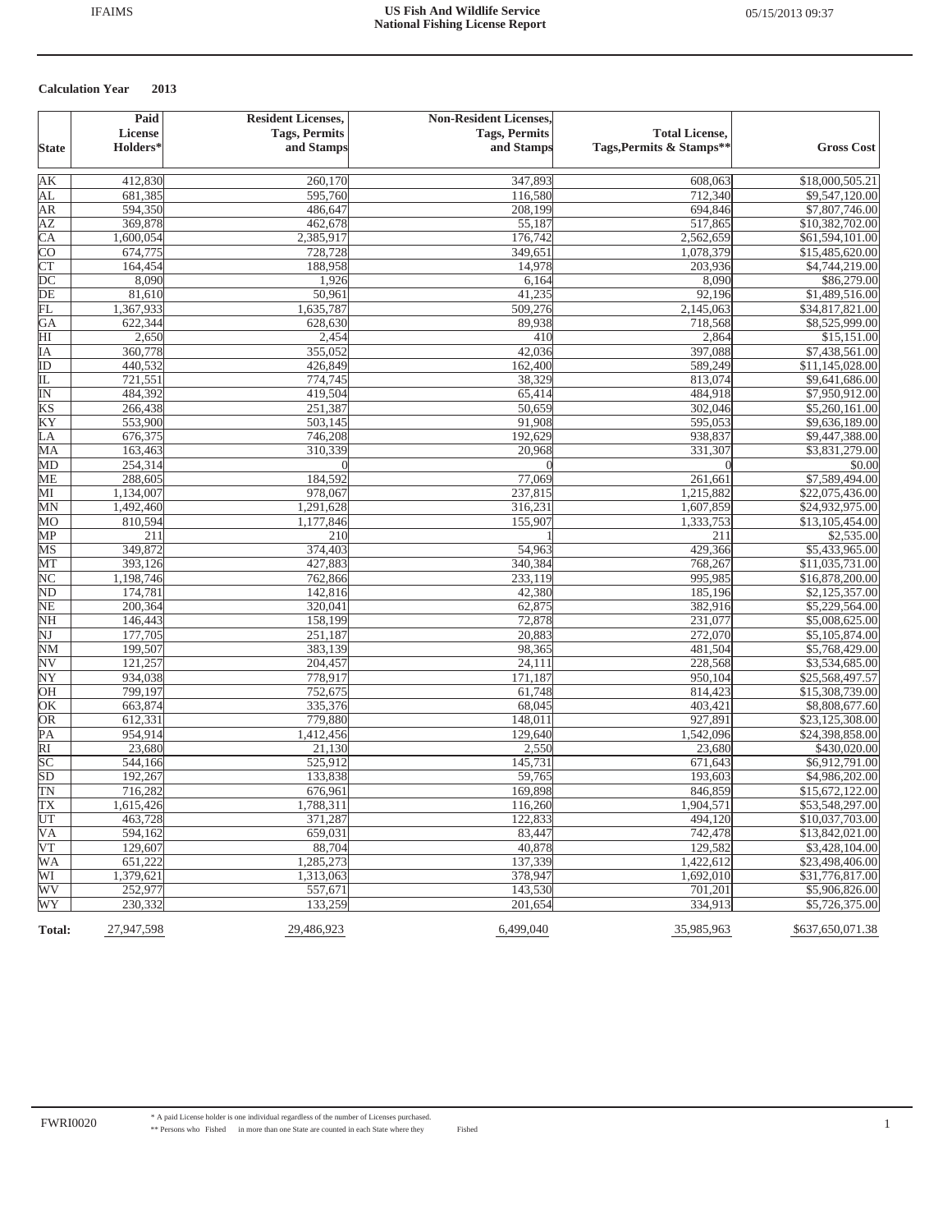|                          | Paid                 | <b>Resident Licenses,</b> | <b>Non-Resident Licenses,</b> |                          |                   |
|--------------------------|----------------------|---------------------------|-------------------------------|--------------------------|-------------------|
|                          | <b>License</b>       | <b>Tags, Permits</b>      | <b>Tags, Permits</b>          | <b>Total License,</b>    |                   |
| <b>State</b>             | Holders <sup>*</sup> | and Stamps                | and Stamps                    | Tags, Permits & Stamps** | <b>Gross Cost</b> |
| AК                       | 412,830              | 260,170                   | 347,893                       | 608,063                  | \$18,000,505.21   |
| AL                       | 681,385              | 595,760                   | 116,580                       | 712,340                  | \$9,547,120.00    |
| AR                       | 594,350              | 486,647                   | 208,199                       | 694,846                  | \$7,807,746.00    |
| <b>AZ</b>                | 369,878              | 462,678                   | 55,187                        | 517,865                  | \$10,382,702.00   |
| $\overline{\text{CA}}$   | 1,600,054            | 2,385,917                 | 176,742                       | 2,562,659                | \$61,594,101.00   |
| <b>CO</b>                | 674,775              | 728,728                   | 349,651                       | 1,078,379                | \$15,485,620.00   |
| CT                       | 164,454              | 188,958                   | 14,978                        | 203,936                  | \$4,744,219.00    |
| $\overline{DC}$          | 8,090                | 1,926                     | 6,164                         | 8,090                    | \$86,279.00       |
| $\overline{DE}$          | 81,610               | 50,961                    | 41,235                        | 92,196                   | \$1,489,516.00    |
| FL                       | 1,367,933            | 1,635,787                 | 509,276                       | 2,145,063                | \$34,817,821.00   |
| GA                       | 622,344              | 628,630                   | 89,938                        | 718,568                  | \$8,525,999.00    |
| $\overline{\mathrm{HI}}$ | 2,650                | 2,454                     | 410                           | 2,864                    | \$15,151.00       |
| IA                       | 360,778              | 355,052                   | 42,036                        | 397,088                  | \$7,438,561.00    |
| $\overline{ID}$          | 440,532              | 426,849                   | 162,400                       | 589,249                  | \$11,145,028.00   |
| 正                        | 721,551              | 774,745                   | 38,329                        | 813,074                  | \$9,641,686.00    |
| $\overline{\mathbb{N}}$  | 484,392              | 419,504                   | 65,414                        | 484,918                  | \$7,950,912.00    |
| KS                       | 266,438              | 251,387                   | 50,659                        | 302,046                  | \$5,260,161.00    |
| KY                       | 553,900              | 503,145                   | 91,908                        | 595,053                  | \$9,636,189.00    |
| LA                       | 676,375              | 746,208                   | 192,629                       | 938,837                  | \$9,447,388.00    |
| MA                       | 163,463              | 310,339                   | 20,968                        | 331,307                  | \$3,831,279.00    |
| MD                       | 254,314              |                           |                               |                          | \$0.00            |
| <b>ME</b>                | 288,605              | 184,592                   | 77,069                        | 261,661                  | \$7,589,494.00    |
| MI                       | 1,134,007            | 978,067                   | 237,815                       | 1,215,882                | \$22,075,436.00   |
| MN                       | 1,492,460            | 1,291,628                 | 316,231                       | 1,607,859                | \$24,932,975.00   |
| MO                       | 810,594              | 1,177,846                 | 155,907                       | 1,333,753                | \$13,105,454.00   |
| MP                       | 211                  | 210                       |                               | 211                      | \$2,535.00        |
| MS                       | 349,872              | 374,403                   | $\frac{1}{54,963}$            | 429,366                  | \$5,433,965.00    |
| MT                       | 393,126              | 427,883                   | 340,384                       | 768,267                  | \$11,035,731.00   |
| $\overline{\text{NC}}$   | 1,198,746            | 762,866                   | 233,119                       | 995,985                  | \$16,878,200.00   |
| $\overline{\text{ND}}$   | 174,781              | 142,816                   | 42,380                        | 185,196                  | \$2,125,357.00    |
| $\overline{\text{NE}}$   | 200,364              | 320,041                   | 62,875                        | 382,916                  | \$5,229,564.00    |
| <b>NH</b>                | 146,443              | 158,199                   | 72,878                        | 231,077                  | \$5,008,625.00    |
| $\overline{\text{NJ}}$   | 177,705              | 251,187                   | 20,883                        | 272,070                  | \$5,105,874.00    |
| $\overline{\text{NM}}$   | 199,507              | 383,139                   | 98,365                        | 481,504                  | \$5,768,429.00    |
| $\overline{\textrm{NV}}$ | 121,257              | 204,457                   | 24,111                        | 228,568                  | \$3,534,685.00    |
| NY                       | 934,038              | 778,917                   | 171,187                       | 950,104                  | \$25,568,497.57   |
| OH                       | 799,197              | 752,675                   | 61,748                        | 814,423                  | \$15,308,739.00   |
| OK                       | 663,874              | 335,376                   | 68,045                        | 403,421                  | \$8,808,677.60    |
| OR                       | 612,331              | 779,880                   | 148,011                       | 927,891                  | \$23,125,308.00   |
| PA                       | 954,914              | 1,412,456                 | 129,640                       | 1,542,096                | \$24,398,858.00   |
| $\overline{RI}$          | 23,680               | 21,130                    | 2,550                         | 23,680                   | \$430,020.00      |
| $\overline{SC}$          | 544,166              | 525,912                   | 145,731                       | 671,643                  | \$6,912,791.00    |
| SD                       | 192,267              | 133,838                   | 59,765                        | 193,603                  | \$4,986,202.00    |
| TN                       | 716,282              | 676,961                   | 169,898                       | 846,859                  | \$15,672,122.00   |
| $\overline{TX}$          | 1,615,426            | 1,788,311                 | 116,260                       | 1,904,571                | \$53,548,297.00   |
| UT                       | 463,728              | 371,287                   | 122,833                       | 494,120                  | \$10,037,703.00   |
| <b>VA</b>                | 594,162              | 659,031                   | 83,447                        | 742,478                  | \$13,842,021.00   |
| VT                       | 129,607              | 88,704                    | 40,878                        | 129,582                  | \$3,428,104.00    |
| <b>WA</b>                | 651,222              | 1,285,273                 | 137,339                       | 1,422,612                | \$23,498,406.00   |
| WI                       | 1,379,621            | 1,313,063                 | 378,947                       | 1,692,010                | \$31,776,817.00   |
| WV                       | 252,977              | 557,671                   | 143,530                       | 701,201                  | \$5,906,826.00    |
| WY                       | 230,332              | 133,259                   | 201.654                       | 334,913                  | \$5,726,375.00    |
| Total:                   | 27,947,598           | 29,486,923                | 6,499,040                     | 35,985,963               | \$637,650,071.38  |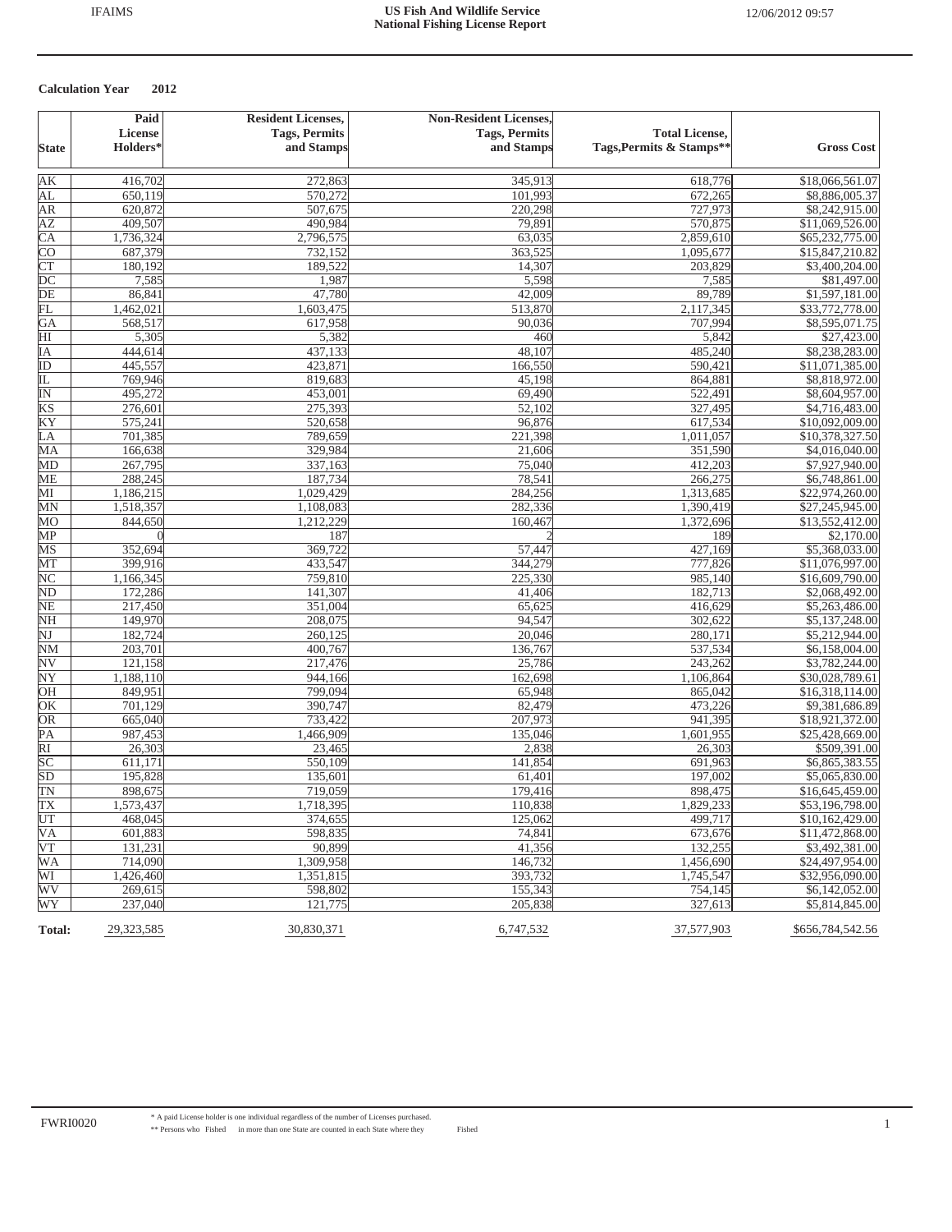|                          | Paid               | <b>Resident Licenses,</b> | <b>Non-Resident Licenses,</b> |                          |                                   |
|--------------------------|--------------------|---------------------------|-------------------------------|--------------------------|-----------------------------------|
|                          | <b>License</b>     | <b>Tags, Permits</b>      | <b>Tags, Permits</b>          | <b>Total License,</b>    |                                   |
| <b>State</b>             | Holders*           | and Stamps                | and Stamps                    | Tags, Permits & Stamps** | <b>Gross Cost</b>                 |
| AК                       | 416,702            | 272,863                   | 345,913                       | 618,776                  | \$18,066,561.07                   |
| AL                       | 650,119            | 570,272                   | 101,993                       | 672,265                  | \$8,886,005.37                    |
| AR                       | 620,872            | 507,675                   | 220,298                       | 727,973                  | \$8,242,915.00                    |
| ΑZ                       | 409,507            | 490,984                   | 79,891                        | 570,875                  | \$11,069,526.00                   |
| $\overline{\text{CA}}$   | 1,736,324          | 2,796,575                 | 63,035                        | 2,859,610                | \$65,232,775.00                   |
| <b>CO</b>                | 687,379            | 732,152                   | 363,525                       | 1,095,677                | \$15,847,210.82                   |
| $\overline{\text{CT}}$   | 180,192            | 189,522                   | 14,307                        | 203,829                  | \$3,400,204.00                    |
| $\overline{DC}$          | 7,585              | 1,987                     | 5,598                         | 7,585                    | \$81,497.00                       |
| DE                       | 86,841             | 47,780                    | 42,009                        | 89,789                   | \$1,597,181.00                    |
| FL                       | 1,462,021          | 1,603,475                 | 513,870                       | 2,117,345                | \$33,772,778.00                   |
| GA                       | 568,517            | 617,958                   | 90,036                        | 707,994                  | \$8,595,071.75                    |
| HI                       | 5,305              | 5,382                     | 460                           | 5,842                    | \$27,423.00                       |
| IΑ                       | 444,614            | 437,133                   | 48,107                        | 485,240                  | \$8,238,283.00                    |
| $\overline{ID}$          | 445,557            | 423,871                   | 166,550                       | 590,421                  | \$11,071,385.00                   |
| IL                       | 769,946            | 819,683                   | 45,198                        | 864,881                  | \$8,818,972.00                    |
| $\overline{\mathbb{N}}$  | 495,272            | 453,001                   | 69,490                        | 522,491                  | \$8,604,957.00                    |
| KS                       | 276,601            | 275,393                   | 52,102                        | 327,495                  | \$4,716,483.00                    |
| KY                       | 575,241            | 520,658                   | 96,876                        | 617,534                  | \$10,092,009.00                   |
| LА                       | 701,385            | 789,659                   | 221,398                       | 1,011,057                | \$10,378,327.50                   |
| MA                       | 166,638            | 329,984                   | 21,606                        | 351,590                  | \$4,016,040.00                    |
| MD<br>ME                 | 267,795<br>288,245 | 337,163<br>187,734        | 75,040<br>78,541              | 412,203<br>266,275       | \$7,927,940.00                    |
| MІ                       | 1,186,215          | 1,029,429                 | 284,256                       | 1,313,685                | \$6,748,861.00<br>\$22,974,260.00 |
| MN                       | 1,518,357          | 1,108,083                 | 282,336                       | 1,390,419                | \$27,245,945.00                   |
| MO                       | 844,650            | 1,212,229                 | 160,467                       | 1,372,696                | \$13,552,412.00                   |
| MP                       |                    | 187                       |                               | 189                      | \$2,170.00                        |
| MS                       | 352,694            | 369,722                   | 57,447                        | 427,169                  | \$5,368,033.00                    |
| MT                       | 399,916            | 433,547                   | 344,279                       | 777,826                  | \$11,076,997.00                   |
| $\overline{\text{NC}}$   | 1,166,345          | 759,810                   | 225,330                       | 985,140                  | \$16,609,790.00                   |
| ND                       | 172,286            | 141,307                   | 41,406                        | 182,713                  | \$2,068,492.00                    |
| $\overline{\text{NE}}$   | 217,450            | 351,004                   | 65,625                        | 416,629                  | \$5,263,486.00                    |
| NH                       | 149,970            | 208,075                   | 94,547                        | 302,622                  | \$5,137,248.00                    |
| $\overline{\text{NJ}}$   | 182,724            | 260,125                   | 20,046                        | 280,171                  | \$5,212,944.00                    |
| <b>NM</b>                | 203,701            | 400,767                   | 136,767                       | 537,534                  | \$6,158,004.00                    |
| $\overline{\textrm{NV}}$ | 121,158            | 217,476                   | 25,786                        | 243,262                  | \$3,782,244.00                    |
| NY                       | 1,188,110          | 944,166                   | 162,698                       | 1,106,864                | \$30,028,789.61                   |
| OH                       | 849,951            | 799,094                   | 65,948                        | 865,042                  | \$16,318,114.00                   |
| $\overline{\text{OK}}$   | 701,129            | 390,747                   | 82,479                        | 473,226                  | \$9,381,686.89                    |
| OR                       | 665,040            | 733,422                   | 207,973                       | 941,395                  | \$18,921,372.00                   |
| PA                       | 987,453            | 1,466,909                 | 135,046                       | 1,601,955                | \$25,428,669.00                   |
| $\overline{RI}$          | 26,303             | 23,465                    | 2,838                         | 26,303                   | \$509,391.00                      |
| SC                       | 611,171            | 550,109                   | 141,854                       | 691,963                  | \$6,865,383.55                    |
| SD                       | 195,828            | 135,601                   | 61,401                        | 197,002                  | \$5,065,830.00                    |
| TN                       | 898,675            | 719,059                   | 179,416                       | 898,475                  | \$16,645,459.00                   |
| TX                       | 1,573,437          | 1,718,395                 | 110,838                       | 1,829,233                | \$53,196,798.00                   |
| UT                       | 468,045            | 374,655                   | 125,062                       | 499,717                  | \$10,162,429.00                   |
| <b>VA</b>                | 601,883            | 598,835                   | 74,841                        | 673,676                  | \$11,472,868.00                   |
| VT                       | 131,231            | 90,899                    | 41,356                        | 132,255                  | \$3,492,381.00                    |
| <b>WA</b>                | 714,090            | 1,309,958                 | 146,732                       | 1,456,690                | \$24,497,954.00                   |
| WI                       | 1,426,460          | 1,351,815                 | 393,732                       | 1,745,547                | \$32,956,090.00                   |
| WV<br>WY                 | 269,615<br>237,040 | 598,802<br>121,775        | 155,343<br>205,838            | 754,145<br>327,613       | \$6,142,052.00<br>\$5,814,845.00  |
| <b>Total:</b>            | 29,323,585         | 30,830,371                | 6,747,532                     | 37,577,903               | \$656,784,542.56                  |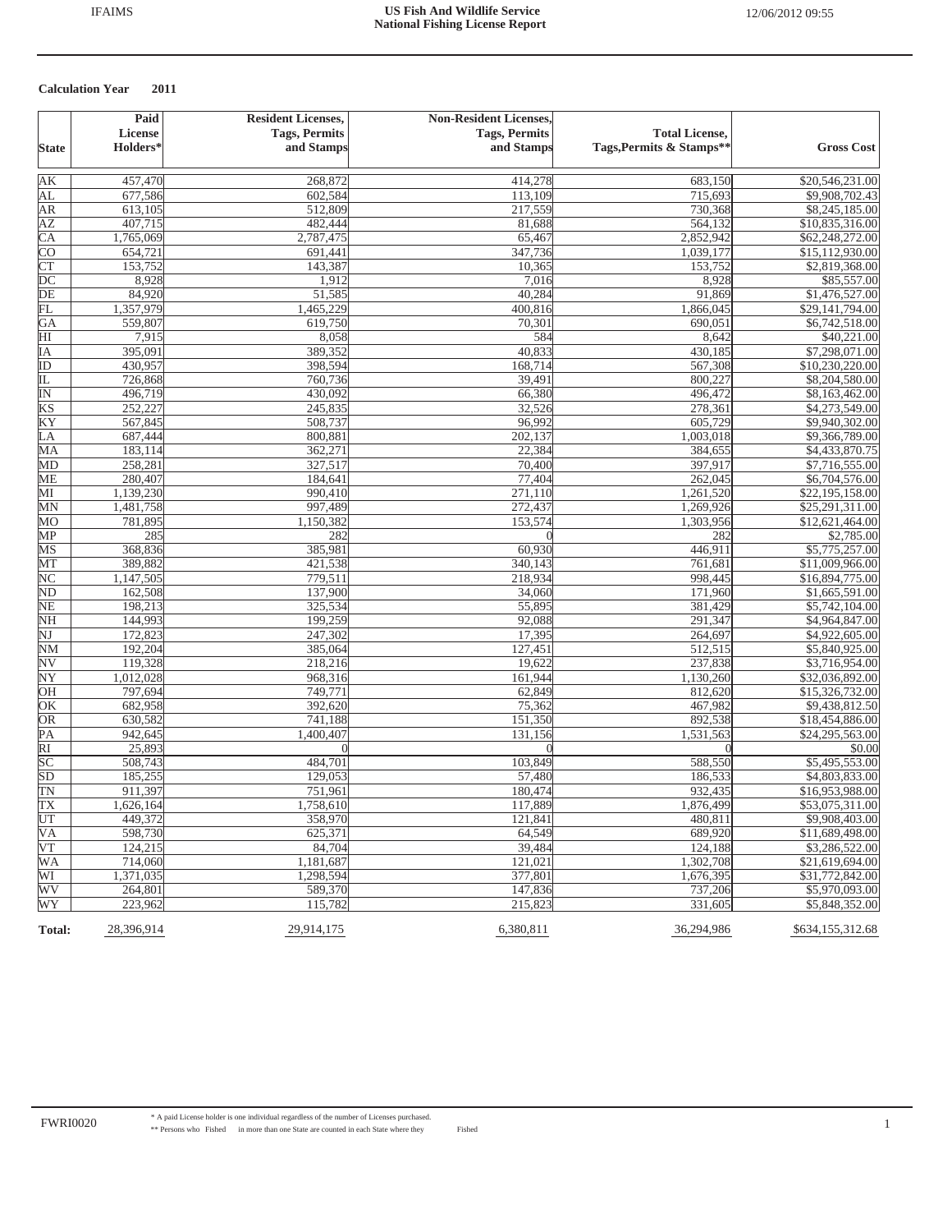|                          | Paid           | <b>Resident Licenses,</b> | <b>Non-Resident Licenses,</b> |                          |                   |
|--------------------------|----------------|---------------------------|-------------------------------|--------------------------|-------------------|
|                          | <b>License</b> | <b>Tags, Permits</b>      | <b>Tags, Permits</b>          | <b>Total License,</b>    |                   |
| <b>State</b>             | Holders*       | and Stamps                | and Stamps                    | Tags, Permits & Stamps** | <b>Gross Cost</b> |
| AК                       | 457,470        | 268,872                   | 414,278                       | 683,150                  | \$20,546,231.00   |
| AL                       | 677,586        | 602,584                   | 113,109                       | 715,693                  | \$9,908,702.43    |
| AR                       | 613,105        | 512,809                   | 217,559                       | 730,368                  | \$8,245,185.00    |
| ΑZ                       | 407,715        | 482,444                   | 81,688                        | 564,132                  | \$10,835,316.00   |
| $\overline{\text{CA}}$   | 1,765,069      | 2,787,475                 | 65,467                        | 2,852,942                | \$62,248,272.00   |
| <b>CO</b>                | 654,721        | 691,441                   | 347,736                       | 1,039,177                | \$15,112,930.00   |
| $\overline{\text{CT}}$   | 153,752        | 143,387                   | 10,365                        | 153,752                  | \$2,819,368.00    |
| $\overline{DC}$          | 8,928          | 1,912                     | 7,016                         | 8,928                    | \$85,557.00       |
| DE                       | 84,920         | 51,585                    | 40,284                        | 91,869                   | \$1,476,527.00    |
| FL                       | 1,357,979      | 1,465,229                 | 400,816                       | 1,866,045                | \$29,141,794.00   |
| GA                       | 559,807        | 619,750                   | 70,301                        | 690,051                  | \$6,742,518.00    |
| HI                       | 7,915          | 8,058                     | 584                           | 8,642                    | \$40,221.00       |
| IΑ                       | 395,091        | 389,352                   | 40,833                        | 430,185                  | \$7,298,071.00    |
| $\overline{ID}$          | 430,957        | 398,594                   | 168,714                       | 567,308                  | \$10,230,220.00   |
| IL                       | 726,868        | 760,736                   | 39,491                        | 800,227                  | \$8,204,580.00    |
| $\overline{\mathbb{N}}$  | 496,719        | 430,092                   | 66,380                        | 496,472                  | \$8,163,462.00    |
| KS                       | 252,227        | 245,835                   | 32,526                        | 278,361                  | \$4,273,549.00    |
| KY                       | 567,845        | 508,737                   | 96,992                        | 605,729                  | \$9,940,302.00    |
| LА                       | 687,444        | 800,881                   | 202,137                       | 1,003,018                | \$9,366,789.00    |
| MA                       | 183,114        | 362,271                   | 22,384                        | 384,655                  | \$4,433,870.75    |
| MD                       | 258,281        | 327,517                   | 70,400                        | 397,917                  | \$7,716,555.00    |
| ME                       | 280,407        | 184,641                   | 77,404                        | 262,045                  | \$6,704,576.00    |
| MI                       | 1,139,230      | 990,410                   | 271,110                       | 1,261,520                | \$22,195,158.00   |
| MN                       | 1,481,758      | 997,489                   | 272,437                       | 1,269,926                | \$25,291,311.00   |
| MO                       | 781,895        | 1,150,382                 | 153,574                       | 1,303,956                | \$12,621,464.00   |
| MP                       | 285            | 282                       |                               | 282                      | \$2,785.00        |
| MS                       | 368,836        | 385,981                   | 60,930                        | 446,911                  | \$5,775,257.00    |
| MT                       | 389,882        | 421,538                   | 340,143                       | 761,681                  | \$11,009,966.00   |
| NC                       | 1,147,505      | 779,511                   | 218,934                       | 998,445                  | \$16,894,775.00   |
| ND                       | 162,508        | 137,900                   | 34,060                        | 171,960                  | \$1,665,591.00    |
| $\overline{\text{NE}}$   | 198,213        | 325,534                   | 55,895                        | 381,429                  | \$5,742,104.00    |
| NH                       | 144,993        | 199,259                   | 92,088                        | 291,347                  | \$4,964,847.00    |
| $\overline{\text{NJ}}$   | 172,823        | 247,302                   | 17,395                        | 264,697                  | \$4,922,605.00    |
| <b>NM</b>                | 192,204        | 385,064                   | 127,451                       | 512,515                  | \$5,840,925.00    |
| $\overline{\textrm{NV}}$ | 119,328        | 218,216                   | 19,622                        | 237,838                  | \$3,716,954.00    |
| NY                       | 1,012,028      | 968,316                   | 161,944                       | 1,130,260                | \$32,036,892.00   |
| OH                       | 797,694        | 749,771                   | 62,849                        | 812,620                  | \$15,326,732.00   |
| $\overline{\text{OK}}$   | 682,958        | 392,620                   | 75,362                        | 467,982                  | \$9,438,812.50    |
| OR                       | 630,582        | 741,188                   | 151,350                       | 892,538                  | \$18,454,886.00   |
| PA                       | 942,645        | 1,400,407                 | 131,156                       | 1,531,563                | \$24,295,563.00   |
| $\overline{RI}$          | 25,893         |                           |                               |                          | \$0.00            |
| SC                       | 508,743        | 484,701                   | 103,849                       | 588,550                  | \$5,495,553.00    |
| SD                       | 185,255        | 129,053                   | 57,480                        | 186,533                  | \$4,803,833.00    |
| TN                       | 911,397        | 751,961                   | 180,474                       | 932,435                  | \$16,953,988.00   |
| TX                       | 1,626,164      | 1,758,610                 | 117,889                       | 1,876,499                | \$53,075,311.00   |
| UT                       | 449,372        | 358,970                   | 121,841                       | 480,811                  | \$9,908,403.00    |
| <b>VA</b>                | 598,730        | 625,371                   | 64,549                        | 689,920                  | \$11,689,498.00   |
| VT                       | 124,215        | 84,704                    | 39,484                        | 124,188                  | \$3,286,522.00    |
| <b>WA</b>                | 714,060        | 1,181,687                 | 121,021                       | 1,302,708                | \$21,619,694.00   |
| WI                       | 1,371,035      | 1,298,594                 | 377,801                       | 1,676,395                | \$31,772,842.00   |
| WV                       | 264,801        | 589,370                   | 147,836                       | 737,206                  | \$5,970,093.00    |
| WY                       | 223,962        | 115,782                   | 215,823                       | 331,605                  | \$5,848,352.00    |
| Total:                   | 28,396,914     | 29,914,175                | 6,380,811                     | 36,294,986               | \$634,155,312.68  |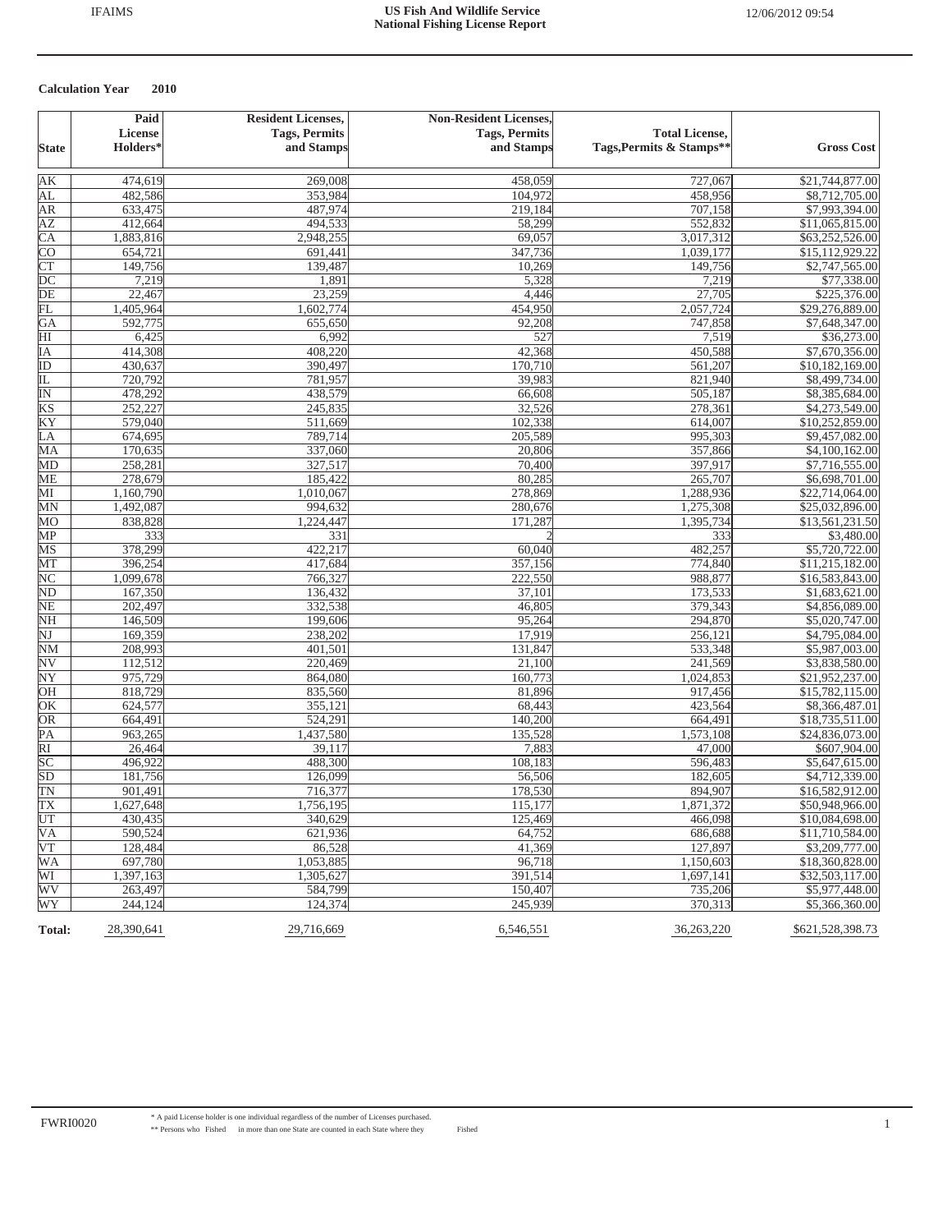|                          | Paid                 | <b>Resident Licenses,</b> | <b>Non-Resident Licenses,</b> |                          |                   |
|--------------------------|----------------------|---------------------------|-------------------------------|--------------------------|-------------------|
|                          | <b>License</b>       | <b>Tags, Permits</b>      | <b>Tags, Permits</b>          | <b>Total License,</b>    |                   |
| <b>State</b>             | Holders <sup>*</sup> | and Stamps                | and Stamps                    | Tags, Permits & Stamps** | <b>Gross Cost</b> |
| AК                       | 474,619              | 269,008                   | 458,059                       | 727,067                  | \$21,744,877.00   |
| AL                       | 482,586              | 353,984                   | 104,972                       | 458,956                  | \$8,712,705.00    |
| AR                       | 633,475              | 487,974                   | 219,184                       | 707,158                  | \$7,993,394.00    |
| <b>AZ</b>                | 412,664              | 494,533                   | 58,299                        | 552,832                  | \$11,065,815.00   |
| $\overline{\text{CA}}$   | 1,883,816            | 2,948,255                 | 69,057                        | 3,017,312                | \$63,252,526.00   |
| <b>CO</b>                | 654,721              | 691,441                   | 347,736                       | 1,039,177                | \$15,112,929.22   |
| CT                       | 149,756              | 139,487                   | 10,269                        | 149,756                  | \$2,747,565.00    |
| $\overline{DC}$          | 7,219                | 1,891                     | 5,328                         | 7,219                    | \$77,338.00       |
| $\overline{DE}$          | 22,467               | 23,259                    | 4,446                         | 27,705                   | \$225,376.00      |
| FL                       | 1,405,964            | 1,602,774                 | 454,950                       | 2,057,724                | \$29,276,889.00   |
| GA                       | 592,775              | 655,650                   | 92,208                        | 747,858                  | \$7,648,347.00    |
| HI                       | 6,425                | 6,992                     | 527                           | 7,519                    | \$36,273.00       |
| IA                       | 414,308              | 408,220                   | 42,368                        | 450,588                  | \$7,670,356.00    |
| ID                       | 430,637              | 390,497                   | 170,710                       | 561,207                  | \$10,182,169.00   |
| 正                        | 720,792              | 781,957                   | 39,983                        | 821,940                  | \$8,499,734.00    |
| $\overline{\mathbb{N}}$  | 478,292              | 438,579                   | 66,608                        | 505,187                  | \$8,385,684.00    |
| KS                       | 252,227              | 245,835                   | 32,526                        | 278,361                  | \$4,273,549.00    |
| KY                       | 579,040              | 511,669                   | 102,338                       | 614,007                  | \$10,252,859.00   |
| LA                       | 674,695              | 789,714                   | 205,589                       | 995,303                  | \$9,457,082.00    |
|                          |                      |                           |                               |                          |                   |
| MA                       | 170,635              | 337,060<br>327,517        | 20,806                        | 357,866<br>397,917       | \$4,100,162.00    |
| MD                       | 258,281              | 185,422                   | 70,400                        | 265,707                  | \$7,716,555.00    |
| <b>ME</b>                | 278,679              |                           | 80,285                        |                          | \$6,698,701.00    |
| MI                       | 1,160,790            | 1,010,067                 | 278,869                       | 1,288,936                | \$22,714,064.00   |
| MN                       | 1,492,087            | 994,632<br>1,224,447      | 280,676                       | 1,275,308                | \$25,032,896.00   |
| MO                       | 838,828              |                           | 171,287                       | 1,395,734                | \$13,561,231.50   |
| MP                       | 333                  | 331                       |                               | 333                      | \$3,480.00        |
| MS                       | 378,299              | 422,217                   | 60,040                        | 482,257                  | \$5,720,722.00    |
| MT                       | 396,254              | 417,684                   | 357,156                       | 774,840                  | \$11,215,182.00   |
| NC                       | 1,099,678            | 766,327                   | 222,550                       | 988,877                  | \$16,583,843.00   |
| $\overline{\text{ND}}$   | 167,350              | 136,432                   | 37,101                        | 173,533                  | \$1,683,621.00    |
| $\overline{\text{NE}}$   | 202,497              | 332,538                   | 46,805                        | 379,343                  | \$4,856,089.00    |
| NH                       | 146,509              | 199,606                   | 95,264                        | 294,870                  | \$5,020,747.00    |
| $\overline{\text{NJ}}$   | 169,359              | 238,202                   | 17,919                        | 256,121                  | \$4,795,084.00    |
| $\overline{\text{NM}}$   | 208,993              | 401,501                   | 131,847                       | 533,348                  | \$5,987,003.00    |
| $\overline{\textrm{NV}}$ | 112,512              | 220,469                   | 21,100                        | 241,569                  | \$3,838,580.00    |
| NY                       | 975,729              | 864,080                   | 160,773                       | 1,024,853                | \$21,952,237.00   |
| OH                       | 818,729              | 835,560                   | 81,896                        | 917,456                  | \$15,782,115.00   |
| OK                       | 624,577              | 355,121                   | 68,443                        | 423,564                  | \$8,366,487.01    |
| OR                       | 664,491              | 524,291                   | 140,200                       | 664,491                  | \$18,735,511.00   |
| PA                       | 963,265              | 1,437,580                 | 135,528                       | 1,573,108                | \$24,836,073.00   |
| $\overline{RI}$          | 26,464               | 39,117                    | 7,883                         | 47,000                   | \$607,904.00      |
| $\overline{SC}$          | 496,922              | 488,300                   | 108,183                       | 596,483                  | \$5,647,615.00    |
| SD                       | 181,756              | 126,099                   | 56,506                        | 182,605                  | \$4,712,339.00    |
| TN                       | 901,491              | 716,377                   | 178,530                       | 894,907                  | \$16,582,912.00   |
| $\overline{TX}$          | 1,627,648            | 1,756,195                 | 115,177                       | 1,871,372                | \$50,948,966.00   |
| UT                       | 430,435              | 340,629                   | 125,469                       | 466,098                  | \$10,084,698.00   |
| <b>VA</b>                | 590,524              | 621,936                   | 64,752                        | 686,688                  | \$11,710,584.00   |
| VT                       | 128,484              | 86,528                    | 41,369                        | 127,897                  | \$3,209,777.00    |
| <b>WA</b>                | 697,780              | 1,053,885                 | 96,718                        | 1,150,603                | \$18,360,828.00   |
| WI                       | 1,397,163            | 1.305.627                 | 391,514                       | 1,697,141                | \$32,503,117.00   |
| WV                       | 263,497              | 584,799                   | 150,407                       | 735,206                  | \$5,977,448.00    |
| WY                       | 244,124              | 124,374                   | 245,939                       | 370,313                  | \$5,366,360.00    |
| Total:                   | 28,390,641           | 29,716,669                | 6,546,551                     | 36,263,220               | \$621,528,398.73  |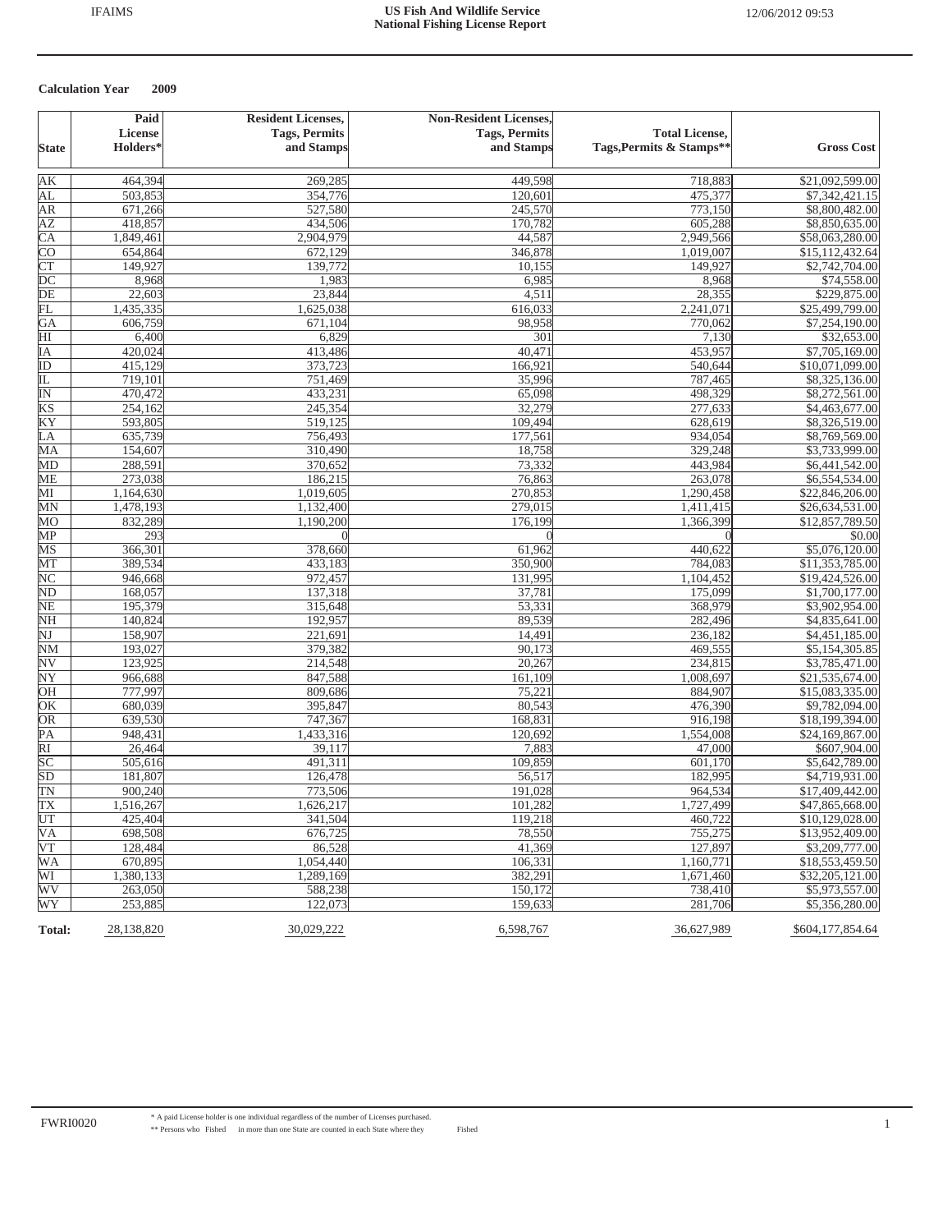|                          | Paid                 | <b>Resident Licenses,</b> | <b>Non-Resident Licenses,</b> |                          |                   |
|--------------------------|----------------------|---------------------------|-------------------------------|--------------------------|-------------------|
|                          | <b>License</b>       | <b>Tags, Permits</b>      | <b>Tags, Permits</b>          | <b>Total License,</b>    |                   |
| <b>State</b>             | Holders <sup>*</sup> | and Stamps                | and Stamps                    | Tags, Permits & Stamps** | <b>Gross Cost</b> |
| AК                       | 464,394              | 269,285                   | 449,598                       | 718,883                  | \$21,092,599.00   |
| AL                       | 503,853              | 354,776                   | 120,601                       | 475,377                  | \$7,342,421.15    |
| AR                       | 671,266              | 527,580                   | 245,570                       | 773,150                  | \$8,800,482.00    |
| <b>AZ</b>                | 418,857              | 434,506                   | 170,782                       | 605,288                  | \$8,850,635.00    |
| $\overline{\text{CA}}$   | 1,849,461            | 2,904,979                 | 44,587                        | 2,949,566                | \$58,063,280.00   |
| <b>CO</b>                | 654,864              | 672,129                   | 346,878                       | 1,019,007                | \$15,112,432.64   |
| CT                       | 149,927              | 139,772                   | 10,155                        | 149,927                  | \$2,742,704.00    |
| $\overline{DC}$          | 8,968                | 1,983                     | 6,985                         | 8,968                    | \$74,558.00       |
| $\overline{DE}$          | 22,603               | 23,844                    | 4,511                         | 28,355                   | \$229,875.00      |
| FL                       | 1,435,335            | 1,625,038                 | 616,033                       | 2,241,071                | \$25,499,799.00   |
| GA                       | 606,759              | 671,104                   | 98,958                        | 770,062                  | \$7,254,190.00    |
| HI                       | 6,400                | 6,829                     | 301                           | 7,130                    | \$32,653.00       |
| IA                       | 420,024              | 413,486                   | 40,471                        | 453,957                  | \$7,705,169.00    |
| $\overline{ID}$          | 415,129              | 373,723                   | 166,921                       | 540,644                  | \$10,071,099.00   |
| IL                       | 719,101              | 751,469                   | 35,996                        | 787,465                  | \$8,325,136.00    |
| $\overline{\mathbb{N}}$  | 470,472              | 433,231                   | 65,098                        | 498,329                  | \$8,272,561.00    |
| KS                       | 254,162              | 245,354                   | 32,279                        | 277,633                  | \$4,463,677.00    |
| KY                       | 593,805              | 519,125                   | 109,494                       | 628,619                  | \$8,326,519.00    |
| LA                       | 635,739              | 756,493                   | 177,561                       | 934,054                  | \$8,769,569.00    |
| MA                       | 154,607              | 310,490                   | 18,758                        | 329,248                  | \$3,733,999.00    |
| MD                       | 288,591              | 370,652                   | 73,332                        | 443,984                  | \$6,441,542.00    |
| <b>ME</b>                | 273,038              | 186,215                   | 76,863                        | 263,078                  | \$6,554,534.00    |
| MI                       | 1,164,630            | 1,019,605                 | 270,853                       | 1,290,458                | \$22,846,206.00   |
| MN                       | 1,478,193            | 1,132,400                 | 279,015                       | 1,411,415                | \$26,634,531.00   |
| MO                       | 832,289              | 1,190,200                 | 176,199                       | 1,366,399                | \$12,857,789.50   |
| MP                       | 293                  | $\Omega$                  | $\Omega$                      |                          | \$0.00            |
| MS                       | 366,301              | 378,660                   | 61,962                        | 440,622                  | \$5,076,120.00    |
| MT                       | 389,534              | 433,183                   | 350,900                       | 784,083                  | \$11,353,785.00   |
| NC                       | 946,668              | 972,457                   | 131,995                       | 1,104,452                | \$19,424,526.00   |
| $\overline{\text{ND}}$   | 168,057              | 137,318                   | 37,781                        | 175,099                  | \$1,700,177.00    |
| $\overline{\text{NE}}$   | 195,379              | 315,648                   | 53,331                        | 368,979                  | \$3,902,954.00    |
| NH                       | 140,824              | 192,957                   | 89,539                        | 282,496                  | \$4,835,641.00    |
| $\overline{\text{NJ}}$   | 158,907              | 221,691                   | 14,491                        | 236,182                  | \$4,451,185.00    |
| $\overline{\text{NM}}$   | 193,027              | 379,382                   | 90,173                        | 469,555                  | \$5,154,305.85    |
| $\overline{\textrm{NV}}$ | 123,925              | 214,548                   | 20,267                        | 234,815                  | \$3,785,471.00    |
| NY                       | 966,688              | 847,588                   | 161,109                       | 1,008,697                | \$21,535,674.00   |
| OH                       | 777,997              | 809,686                   | 75,221                        | 884,907                  | \$15,083,335.00   |
| OK                       | 680,039              | 395,847                   | 80,543                        | 476,390                  | \$9,782,094.00    |
| OR                       | 639,530              | 747,367                   | 168,831                       | 916,198                  | \$18,199,394.00   |
| PA                       | 948,431              | 1,433,316                 | 120,692                       | 1,554,008                | \$24,169,867.00   |
| $\overline{RI}$          | 26,464               | 39,117                    | 7,883                         | 47,000                   | \$607,904.00      |
| $\overline{SC}$          | 505,616              | 491,311                   | 109,859                       | 601,170                  | \$5,642,789.00    |
| SD                       | 181,807              | 126,478                   | 56,517                        | 182,995                  | \$4,719,931.00    |
| TN                       | 900,240              | 773,506                   | 191,028                       | 964,534                  | \$17,409,442.00   |
| $\overline{\text{TX}}$   | 1,516,267            | 1,626,217                 | 101,282                       | 1,727,499                | \$47,865,668.00   |
| UT                       | 425,404              | 341,504                   | 119,218                       | 460,722                  | \$10,129,028.00   |
| <b>VA</b>                | 698,508              | 676,725                   | 78,550                        | 755,275                  | \$13,952,409.00   |
| VT                       | 128,484              | 86,528                    | 41,369                        | 127,897                  | \$3,209,777.00    |
| <b>WA</b>                | 670,895              | 1.054.440                 | 106,331                       | 1,160,771                | \$18,553,459.50   |
| WI                       | 1,380,133            | 1,289,169                 | 382,291                       | 1,671,460                | \$32,205,121.00   |
| WV                       | 263,050              | 588,238                   | 150,172                       | 738,410                  | \$5,973,557.00    |
| WY                       | 253,885              | 122,073                   | 159,633                       | 281,706                  | \$5,356,280.00    |
| Total:                   | 28,138,820           | 30,029,222                | 6,598,767                     | 36,627,989               | \$604,177,854.64  |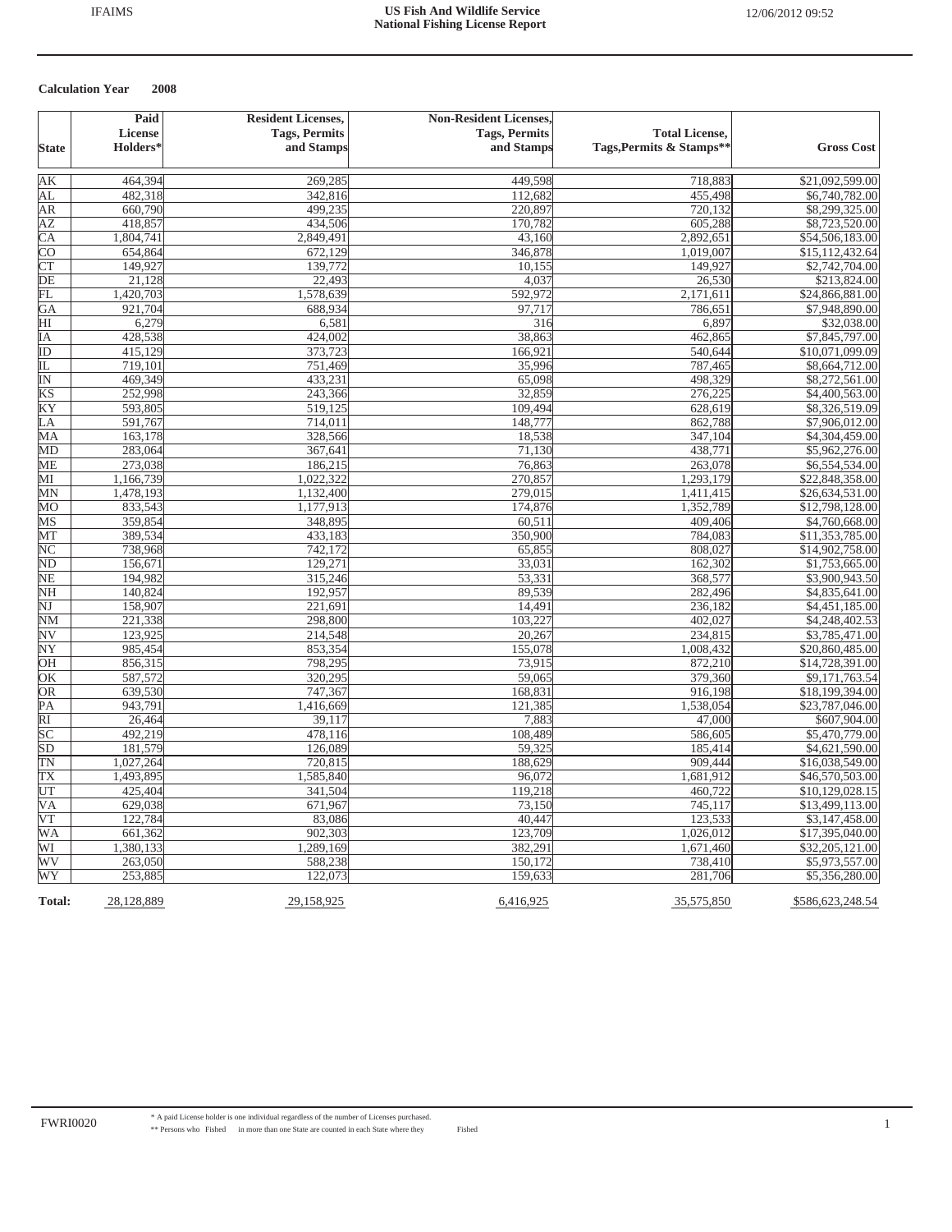|                            | Paid                 | <b>Resident Licenses,</b> | <b>Non-Resident Licenses,</b> |                          |                   |
|----------------------------|----------------------|---------------------------|-------------------------------|--------------------------|-------------------|
|                            | License              | <b>Tags, Permits</b>      | <b>Tags, Permits</b>          | <b>Total License,</b>    |                   |
| <b>State</b>               | Holders <sup>*</sup> | and Stamps                | and Stamps                    | Tags, Permits & Stamps** | <b>Gross Cost</b> |
|                            |                      |                           |                               |                          |                   |
| AК                         | 464,394              | 269,285                   | 449,598                       | 718,883                  | \$21,092,599.00   |
| AL                         | 482,318              | 342,816                   | 112,682                       | 455,498                  | \$6,740,782.00    |
| AR                         | 660,790              | 499,235                   | 220,897                       | 720,132                  | \$8,299,325.00    |
| AZ                         | 418,857              | 434,506                   | 170,782                       | 605,288                  | \$8,723,520.00    |
| $\overline{CA}$            | 1,804,741            | 2,849,491                 | 43,160                        | 2,892,651                | \$54,506,183.00   |
| $\overline{C}O$            | 654,864              | 672,129                   | 346,878                       | 1,019,007                | \$15,112,432.64   |
| <b>CT</b>                  | 149,927              | 139,772                   | 10,155                        | 149,927                  | \$2,742,704.00    |
| DE                         | 21,128               | 22,493                    | 4,037                         | 26,530                   | \$213,824.00      |
| FL                         | 1,420,703            | 1,578,639                 | 592,972                       | 2,171,611                | \$24,866,881.00   |
| GA                         | 921,704              | 688,934                   | 97,717                        | 786,651                  | \$7,948,890.00    |
| HI                         | 6,279                | 6,581                     | 316                           | 6,897                    | \$32,038.00       |
| ΙA                         | 428,538              | 424,002                   | 38,863                        | 462,865                  | \$7,845,797.00    |
| ID                         | 415,129              | 373,723                   | 166,921                       | 540,644                  | \$10,071,099.09   |
| IL                         | 719,101              | 751,469                   | 35,996                        | 787,465                  | \$8,664,712.00    |
| $\overline{\mathbb{N}}$    | 469,349              | 433,231                   | 65,098                        | 498,329                  | \$8,272,561.00    |
| $\overline{KS}$            | 252,998              | 243,366                   | 32,859                        | 276,225                  | \$4,400,563.00    |
| ΚY                         | 593,805              | 519,125                   | 109,494                       | 628,619                  | \$8,326,519.09    |
| LA                         | 591,767              | 714,011                   | 148,777                       | 862,788                  | \$7,906,012.00    |
| MA                         | 163,178              | 328,566                   | 18,538                        | 347,104                  | \$4,304,459.00    |
| MD                         | 283,064              | 367,641                   | 71,130                        | 438,771                  | \$5,962,276.00    |
| МE                         | 273,038              | 186,215                   | 76,863                        | 263,078                  | \$6,554,534.00    |
| MІ                         | 1,166,739            | 1,022,322                 | 270,857                       | 1,293,179                | \$22,848,358.00   |
| MN                         | 1,478,193            | 1,132,400                 | 279,015                       | 1,411,415                | \$26,634,531.00   |
| $\overline{\text{MO}}$     | 833,543              | 1,177,913                 | 174,876                       | 1,352,789                | \$12,798,128.00   |
| MS                         | 359,854              | 348,895                   | 60,511                        | 409,406                  | \$4,760,668.00    |
| MТ                         | 389,534              | 433,183                   | 350,900                       | 784,083                  | \$11,353,785.00   |
| NC                         | 738,968              | 742,172                   | 65,855                        | 808,027                  | \$14,902,758.00   |
| $\mathop{\rm ND}\nolimits$ | 156,671              | 129,271                   | 33,031                        | 162,302                  | \$1,753,665.00    |
| NЕ                         | 194,982              | 315,246                   | 53,331                        | 368,577                  | \$3,900,943.50    |
| NH                         | 140,824              | 192,957                   | 89,539                        | 282,496                  | \$4,835,641.00    |
| NJ                         | 158,907              | 221,691                   | 14,491                        | 236,182                  | \$4,451,185.00    |
| NΜ                         | 221,338              | 298,800                   | 103,227                       | 402,027                  | \$4,248,402.53    |
| $\overline{\text{NV}}$     | 123,925              | 214,548                   | 20,267                        | 234,815                  | \$3,785,471.00    |
| $\overline{\text{NY}}$     | 985,454              | 853,354                   | 155,078                       | 1,008,432                | \$20,860,485.00   |
| OН                         | 856,315              | 798,295                   | 73,915                        | 872,210                  | \$14,728,391.00   |
| ŌК                         | 587,572              | 320,295                   | 59,065                        | 379,360                  | \$9,171,763.54    |
| OR                         | 639,530              | 747,367                   | 168,831                       | 916,198                  | \$18,199,394.00   |
| PА                         | 943,791              | 1,416,669                 | 121,385                       | 1,538,054                | \$23,787,046.00   |
| $\overline{RI}$            | 26,464               | 39,117                    | 7,883                         | 47,000                   | \$607,904.00      |
| $\overline{SC}$            | 492,219              | 478,116                   | 108,489                       | 586,605                  | \$5,470,779.00    |
| $\overline{\text{SD}}$     | 181,579              | 126,089                   | 59,325                        | 185,414                  | \$4,621,590.00    |
| TΝ                         | 1,027,264            | 720,815                   | 188,629                       | 909,444                  | \$16,038,549.00   |
| TХ                         | 1,493,895            | 1,585,840                 | 96,072                        | 1,681,912                | \$46,570,503.00   |
| UT                         | 425,404              | 341,504                   | 119,218                       | 460,722                  | \$10,129,028.15   |
| $\overline{\mathsf{VA}}$   | 629,038              | 671,967                   | 73,150                        | 745,117                  | \$13,499,113.00   |
| $\overline{\text{VT}}$     | 122,784              | 83,086                    | 40,447                        | 123,533                  | \$3,147,458.00    |
| WA                         | 661,362              | 902,303                   | 123,709                       | 1,026,012                | \$17,395,040.00   |
| WI                         | 1,380,133            | 1,289,169                 | 382,291                       | 1,671,460                | \$32,205,121.00   |
| WV                         | 263,050              | 588,238                   | 150,172                       | 738,410                  | \$5,973,557.00    |
| WY                         | 253,885              | 122,073                   | 159,633                       | 281,706                  | \$5,356,280.00    |
| <b>Total:</b>              | 28,128,889           | 29,158,925                | 6,416,925                     | 35,575,850               | \$586,623,248.54  |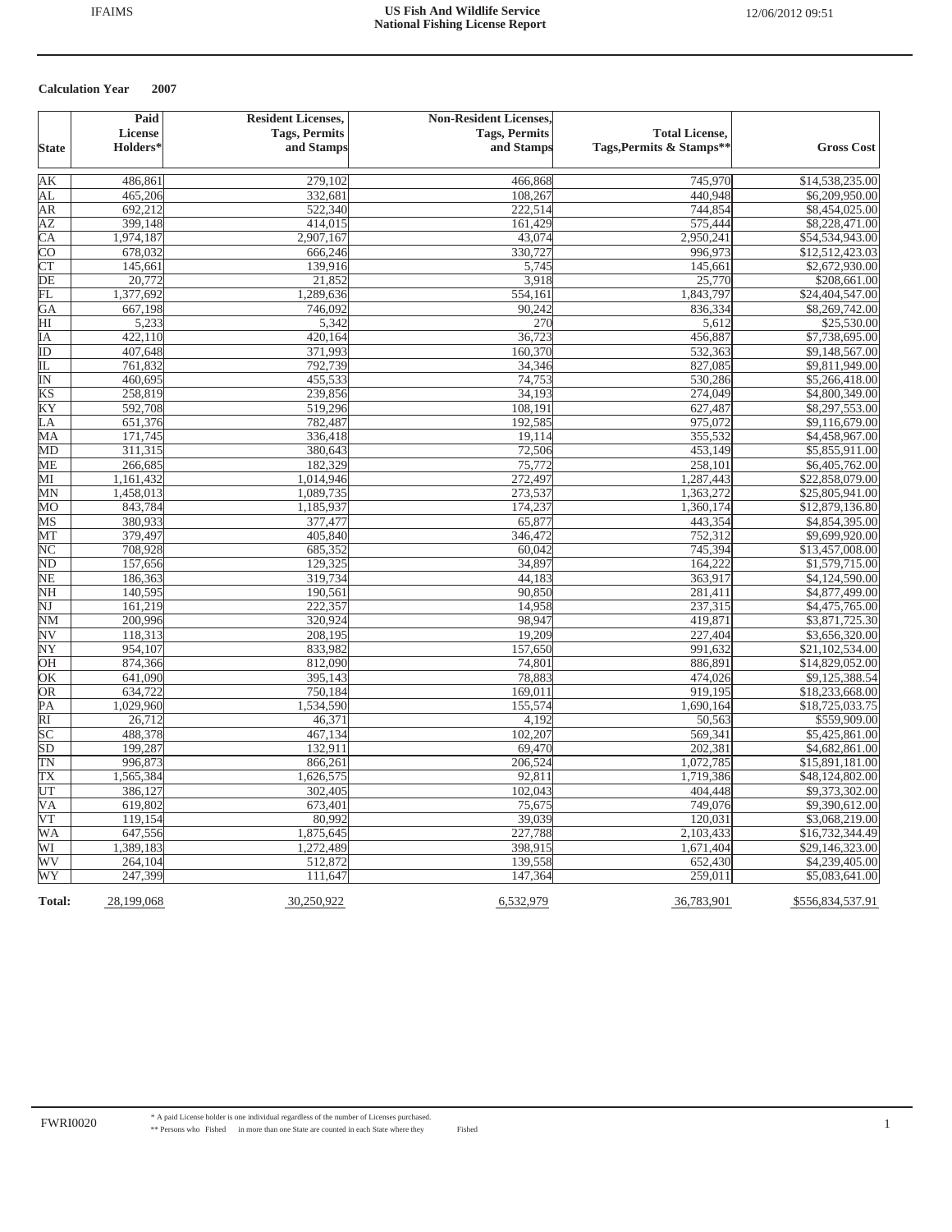|                          | Paid       | <b>Resident Licenses,</b> | <b>Non-Resident Licenses,</b> |                          |                   |
|--------------------------|------------|---------------------------|-------------------------------|--------------------------|-------------------|
|                          | License    | <b>Tags, Permits</b>      | <b>Tags, Permits</b>          | <b>Total License,</b>    |                   |
| <b>State</b>             | Holders*   | and Stamps                | and Stamps                    | Tags, Permits & Stamps** | <b>Gross Cost</b> |
| AК                       | 486,861    | 279,102                   | 466,868                       | 745,970                  | \$14,538,235.00   |
| AL                       | 465,206    | 332,681                   | 108,267                       | 440,948                  | \$6,209,950.00    |
| ΑR                       | 692,212    | 522,340                   | 222,514                       | 744,854                  | \$8,454,025.00    |
| AΖ                       | 399,148    | 414,015                   | 161,429                       | 575,444                  | \$8,228,471.00    |
| СA                       | 1,974,187  | 2,907,167                 | 43,074                        | 2,950,241                | \$54,534,943.00   |
| CО                       | 678,032    | 666,246                   | 330,727                       | 996,973                  | \$12,512,423.03   |
| $\overline{\text{CT}}$   | 145,661    | 139,916                   | 5,745                         | 145,661                  | \$2,672,930.00    |
| DE                       | 20,772     | 21,852                    | 3,918                         | 25,770                   | \$208,661.00      |
| FL                       | 1,377,692  | 1,289,636                 | 554,161                       | 1,843,797                | \$24,404,547.00   |
| GA                       | 667,198    | 746,092                   | 90,242                        | 836,334                  | \$8,269,742.00    |
| HI                       | 5,233      | 5,342                     | 270                           | 5,612                    | \$25,530.00       |
| ΙA                       | 422,110    | 420,164                   | 36,723                        | 456,887                  | \$7,738,695.00    |
| ID                       | 407,648    | 371,993                   | 160,370                       | 532,363                  | \$9,148,567.00    |
| IL                       | 761,832    | 792,739                   | 34,346                        | 827,085                  | \$9,811,949.00    |
| $\overline{\mathbb{N}}$  | 460,695    | 455,533                   | 74,753                        | 530,286                  | \$5,266,418.00    |
| KS                       | 258,819    | 239,856                   | 34,193                        | 274,049                  | \$4,800,349.00    |
| KY                       | 592,708    | 519,296                   | 108,191                       | 627,487                  | \$8,297,553.00    |
| LA                       | 651,376    | 782,487                   | 192,585                       | 975,072                  | \$9,116,679.00    |
| МA                       | 171,745    | 336,418                   | 19,114                        | 355,532                  | \$4,458,967.00    |
| MD                       | 311,315    | 380,643                   | 72,506                        | 453,149                  | \$5,855,911.00    |
| ME                       | 266,685    | 182,329                   | 75,772                        | 258,101                  | \$6,405,762.00    |
| МI                       | 1,161,432  | 1,014,946                 | 272,497                       | 1,287,443                | \$22,858,079.00   |
| MN                       | 1,458,013  | 1,089,735                 | 273,537                       | 1,363,272                | \$25,805,941.00   |
| MО                       | 843,784    | 1,185,937                 | 174,237                       | 1,360,174                | \$12,879,136.80   |
| MS                       | 380,933    | 377,477                   | 65,877                        | 443,354                  | \$4,854,395.00    |
| MT                       | 379,497    | 405,840                   | 346,472                       | 752,312                  | \$9,699,920.00    |
| $\overline{\rm NC}$      | 708,928    | 685,352                   | 60,042                        | 745,394                  | \$13,457,008.00   |
| $\overline{\rm ND}$      | 157,656    | 129,325                   | 34,897                        | 164,222                  | \$1,579,715.00    |
| NΕ                       | 186,363    | 319,734                   | 44,183                        | 363,917                  | \$4,124,590.00    |
| NH                       | 140,595    | 190,561                   | 90,850                        | 281,411                  | \$4,877,499.00    |
| NJ                       | 161,219    | 222,357                   | 14,958                        | 237,315                  | \$4,475,765.00    |
| NΜ                       | 200,996    | 320,924                   | 98,947                        | 419,871                  | \$3,871,725.30    |
| $\overline{\text{NV}}$   | 118,313    | 208,195                   | 19,209                        | 227,404                  | \$3,656,320.00    |
| $\overline{\text{NY}}$   | 954,107    | 833,982                   | 157,650                       | 991,632                  | \$21,102,534.00   |
| OН                       | 874,366    | 812,090                   | 74,801                        | 886,891                  | \$14,829,052.00   |
| OК                       | 641,090    | 395,143                   | 78,883                        | 474,026                  | \$9,125,388.54    |
| OR                       | 634,722    | 750,184                   | 169,011                       | 919,195                  | \$18,233,668.00   |
| PA                       | 1,029,960  | 1,534,590                 | 155,574                       | 1,690,164                | \$18,725,033.75   |
| $\overline{RI}$          | 26,712     | 46,371                    | 4,192                         | 50,563                   | \$559,909.00      |
| $\overline{SC}$          | 488,378    | 467,134                   | 102,207                       | 569,341                  | \$5,425,861.00    |
| $\overline{SD}$          | 199,287    | 132,911                   | 69,470                        | 202,381                  | \$4,682,861.00    |
| TΝ                       | 996,873    | 866,261                   | 206,524                       | 1,072,785                | \$15,891,181.00   |
| TX                       | 1,565,384  | 1,626,575                 | 92,811                        | 1,719,386                | \$48,124,802.00   |
| UT                       | 386,127    | 302,405                   | 102,043                       | 404,448                  | \$9,373,302.00    |
| $\overline{\mathsf{VA}}$ | 619,802    | 673,401                   | 75,675                        | 749,076                  | \$9,390,612.00    |
| V T                      | 119,154    | 80,992                    | 39,039                        | 120,031                  | \$3,068,219.00    |
| WA                       | 647,556    | 1,875,645                 | 227,788                       | 2,103,433                | \$16,732,344.49   |
| WI                       | 1,389,183  | 1,272,489                 | 398,915                       | 1,671,404                | \$29,146,323.00   |
| WV                       | 264,104    | 512,872                   | 139,558                       | 652,430                  | \$4,239,405.00    |
| WY                       | 247,399    | 111,647                   | 147,364                       | 259,011                  | \$5,083,641.00    |
| Total:                   | 28,199,068 | 30,250,922                | 6,532,979                     | 36,783,901               | \$556,834,537.91  |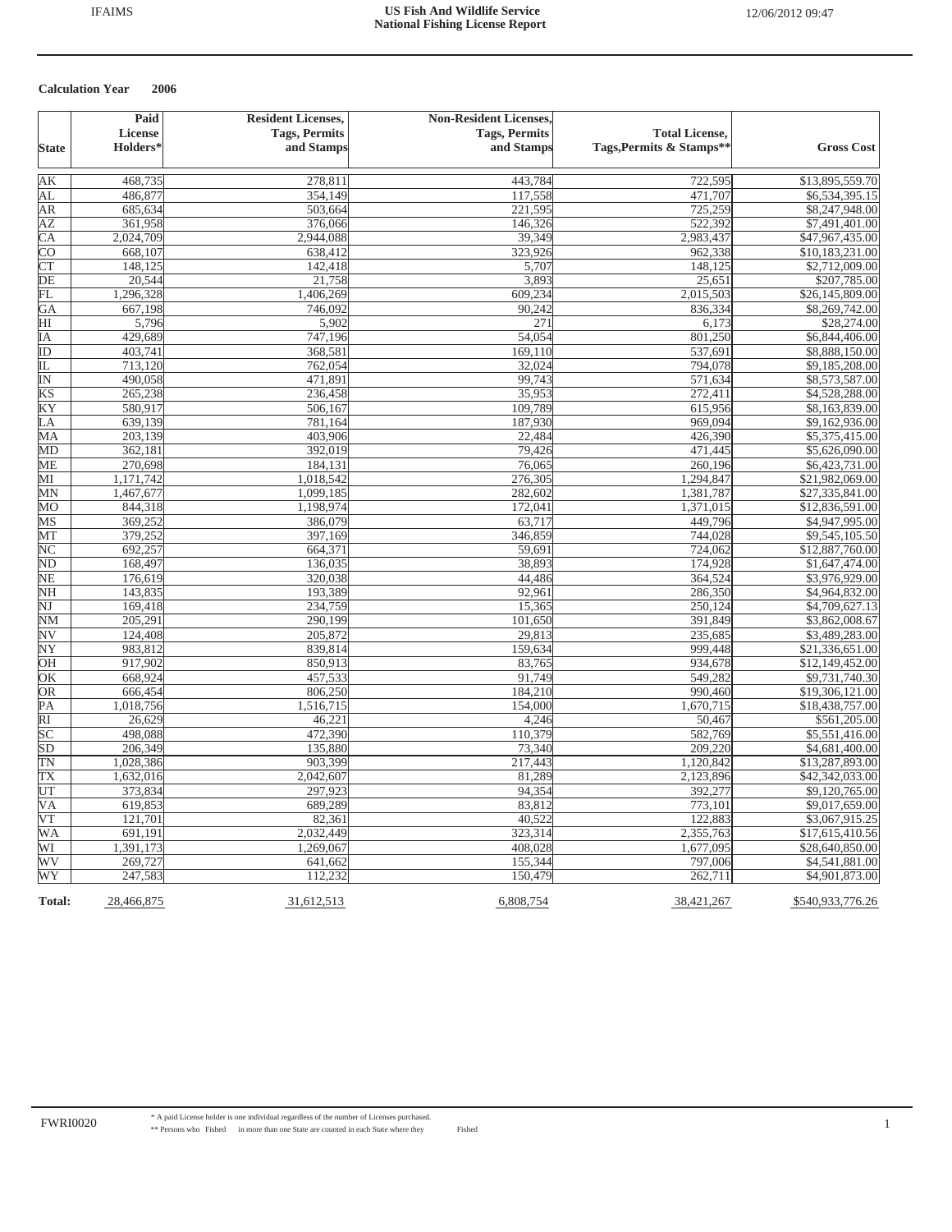|                            | Paid                 | <b>Resident Licenses,</b> | <b>Non-Resident Licenses,</b> |                          |                   |
|----------------------------|----------------------|---------------------------|-------------------------------|--------------------------|-------------------|
|                            | License              | <b>Tags, Permits</b>      | <b>Tags, Permits</b>          | <b>Total License,</b>    |                   |
| <b>State</b>               | Holders <sup>*</sup> | and Stamps                | and Stamps                    | Tags, Permits & Stamps** | <b>Gross Cost</b> |
|                            |                      |                           |                               |                          |                   |
| AК                         | 468,735              | 278,811                   | 443,784                       | 722,595                  | \$13,895,559.70   |
| AL                         | 486,877              | 354,149                   | 117,558                       | 471,707                  | 86,534,395.15     |
| AR                         | 685,634              | 503,664                   | 221,595                       | 725,259                  | \$8,247,948.00    |
| AZ                         | 361,958              | 376,066                   | 146,326                       | 522,392                  | \$7,491,401.00    |
| $\overline{CA}$            | 2,024,709            | 2,944,088                 | 39,349                        | 2,983,437                | \$47,967,435.00   |
| $\overline{C}O$            | 668,107              | 638,412                   | 323,926                       | 962,338                  | \$10,183,231.00   |
| <b>CT</b>                  | 148,125              | 142,418                   | 5,707                         | 148,125                  | \$2,712,009.00    |
| DE                         | 20,544               | 21,758                    | 3,893                         | 25,651                   | \$207,785.00      |
| FL                         | 1,296,328            | 1,406,269                 | 609,234                       | 2,015,503                | \$26,145,809.00   |
| GA                         | 667,198              | 746,092                   | 90,242                        | 836,334                  | \$8,269,742.00    |
| HI                         | 5,796                | 5,902                     | 271                           | 6,173                    | \$28,274.00       |
| ΙA                         | 429,689              | 747,196                   | 54,054                        | 801,250                  | \$6,844,406.00    |
| ID                         | 403,741              | 368,581                   | 169,110                       | 537,691                  | \$8,888,150.00    |
| IL                         | 713,120              | 762,054                   | 32,024                        | 794,078                  | \$9,185,208.00    |
| $\overline{\mathbb{N}}$    | 490,058              | 471,891                   | 99,743                        | 571,634                  | \$8,573,587.00    |
| $\overline{KS}$            | 265,238              | 236,458                   | 35,953                        | 272,411                  | \$4,528,288.00    |
| ΚY                         | 580,917              | 506,167                   | 109,789                       | 615,956                  | \$8,163,839.00    |
| LA                         | 639,139              | 781,164                   | 187,930                       | 969,094                  | \$9,162,936.00    |
| MA                         | 203,139              | 403,906                   | 22,484                        | 426,390                  | \$5,375,415.00    |
| MD                         | 362,181              | 392,019                   | 79,426                        | 471,445                  | \$5,626,090.00    |
| МE                         | 270,698              | 184,131                   | 76,065                        | 260,196                  | \$6,423,731.00    |
| MІ                         | 1,171,742            | 1,018,542                 | 276,305                       | 1,294,847                | \$21,982,069.00   |
| MN                         | 1,467,677            | 1,099,185                 | 282,602                       | 1,381,787                | \$27,335,841.00   |
| $\overline{\text{MO}}$     | 844,318              | 1,198,974                 | 172,041                       | 1,371,015                | \$12,836,591.00   |
| MS                         | 369,252              | 386,079                   | 63,717                        | 449,796                  | \$4,947,995.00    |
| MT                         | 379,252              | 397,169                   | 346,859                       | 744,028                  | \$9,545,105.50    |
| NC                         | 692,257              | 664,371                   | 59,691                        | 724,062                  | \$12,887,760.00   |
| $\mathop{\rm ND}\nolimits$ | 168,497              | 136,035                   | 38,893                        | 174,928                  | \$1,647,474.00    |
| NЕ                         | 176,619              | 320,038                   | 44,486                        | 364,524                  | \$3,976,929.00    |
| NH                         | 143,835              | 193,389                   | 92,961                        | 286,350                  | \$4,964,832.00    |
| NJ                         | 169,418              | 234,759                   | 15,365                        | 250,124                  | \$4,709,627.13    |
| NΜ                         | 205,291              | 290,199                   | 101,650                       | 391,849                  | \$3,862,008.67    |
| $\overline{\text{NV}}$     | 124,408              | 205,872                   | 29,813                        | 235,685                  | \$3,489,283.00    |
| $\overline{\text{NY}}$     | 983,812              | 839,814                   | 159,634                       | 999,448                  | \$21,336,651.00   |
| OН                         | 917,902              | 850,913                   | 83,765                        | 934,678                  | \$12,149,452.00   |
| ŌК                         | 668,924              | 457,533                   | 91,749                        | 549,282                  | \$9,731,740.30    |
| OR                         | 666,454              | 806,250                   | 184,210                       | 990,460                  | \$19,306,121.00   |
| PА                         | 1,018,756            | 1,516,715                 | 154,000                       | 1,670,715                | \$18,438,757.00   |
| $\overline{RI}$            | 26,629               | 46,221                    | 4,246                         | 50,467                   | \$561,205.00      |
| $\overline{SC}$            | 498,088              | 472,390                   | 110,379                       | 582,769                  | \$5,551,416.00    |
| $\overline{\text{SD}}$     | 206,349              | 135,880                   | 73,340                        | 209,220                  | \$4,681,400.00    |
| TΝ                         | 1,028,386            | 903,399                   | 217,443                       | 1,120,842                | \$13,287,893.00   |
| TХ                         | 1,632,016            | 2,042,607                 | 81,289                        | 2,123,896                | \$42,342,033.00   |
| UT                         | 373,834              | 297,923                   | 94,354                        | 392,277                  | \$9,120,765.00    |
| $\overline{\mathsf{VA}}$   | 619,853              | 689,289                   | 83,812                        | 773,101                  | \$9,017,659.00    |
| $\overline{\text{VT}}$     | 121,701              | 82,361                    | 40,522                        | 122,883                  | \$3,067,915.25    |
| WA                         | 691,191              | 2,032,449                 | 323,314                       | 2,355,763                | \$17,615,410.56   |
| WI                         | 1,391,173            | 1,269,067                 | 408,028                       | 1,677,095                | \$28,640,850.00   |
| WV                         | 269,727              | 641,662                   | 155,344                       | 797,006                  | \$4,541,881.00    |
| WY                         | 247,583              | 112,232                   | 150,479                       | 262,711                  | \$4,901,873.00    |
| Total:                     | 28,466,875           | 31,612,513                | 6,808,754                     | 38,421,267               | \$540,933,776.26  |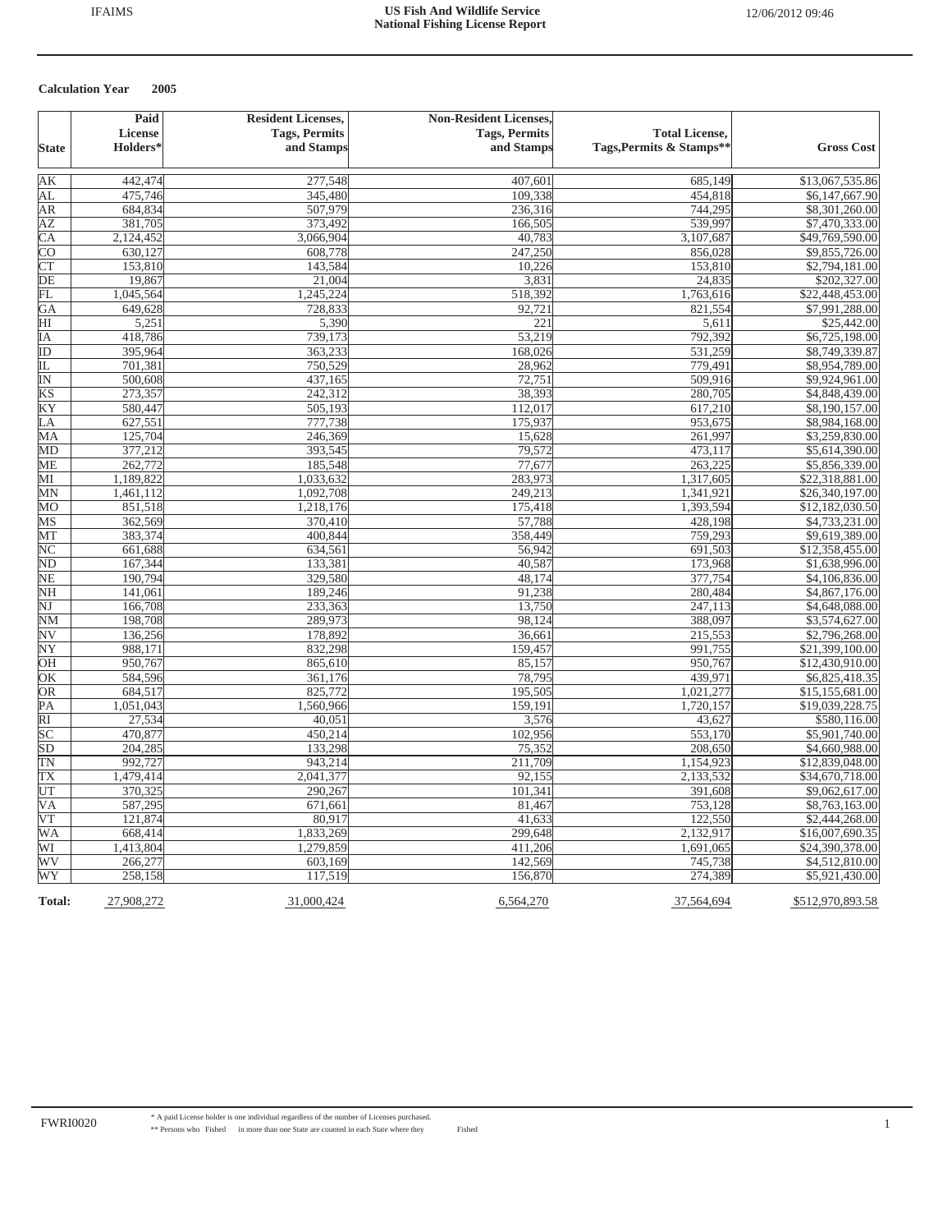|                            | Paid                 | <b>Resident Licenses,</b> | <b>Non-Resident Licenses,</b> |                          |                   |
|----------------------------|----------------------|---------------------------|-------------------------------|--------------------------|-------------------|
|                            | License              | <b>Tags, Permits</b>      | <b>Tags, Permits</b>          | <b>Total License,</b>    |                   |
| <b>State</b>               | Holders <sup>*</sup> | and Stamps                | and Stamps                    | Tags, Permits & Stamps** | <b>Gross Cost</b> |
|                            |                      |                           |                               |                          |                   |
| AК                         | 442,474              | 277,548                   | 407,601                       | 685,149                  | \$13,067,535.86   |
| AL                         | 475,746              | 345,480                   | 109,338                       | 454,818                  | \$6,147,667.90    |
| AR                         | 684,834              | 507,979                   | 236,316                       | 744,295                  | \$8,301,260.00    |
| AZ                         | 381,705              | 373,492                   | 166,505                       | 539,997                  | \$7,470,333.00    |
| $\overline{CA}$            | 2,124,452            | 3,066,904                 | 40,783                        | 3,107,687                | \$49,769,590.00   |
| $\overline{C}O$            | 630,127              | 608,778                   | 247,250                       | 856,028                  | \$9,855,726.00    |
| <b>CT</b>                  | 153,810              | 143,584                   | 10,226                        | 153,810                  | \$2,794,181.00    |
| DE                         | 19,867               | 21,004                    | 3,831                         | 24,835                   | \$202,327.00      |
| FL                         | 1,045,564            | 1,245,224                 | 518,392                       | 1,763,616                | \$22,448,453.00   |
| GA                         | 649,628              | 728,833                   | 92,721                        | 821,554                  | \$7,991,288.00    |
| HI                         | 5,251                | 5,390                     | 221                           | 5,611                    | \$25,442.00       |
| ΙA                         | 418,786              | 739,173                   | 53,219                        | 792,392                  | \$6,725,198.00    |
| ID                         | 395,964              | 363,233                   | 168,026                       | 531,259                  | \$8,749,339.87    |
| IL                         | 701,381              | 750,529                   | 28,962                        | 779,491                  | \$8,954,789.00    |
| $\overline{\mathbb{N}}$    | 500,608              | 437,165                   | 72,751                        | 509,916                  | \$9,924,961.00    |
| $\overline{KS}$            | 273,357              | 242,312                   | 38,393                        | 280,705                  | \$4,848,439.00    |
| ΚY                         | 580,447              | 505,193                   | 112,017                       | 617,210                  | \$8,190,157.00    |
| LA                         | 627,551              | 777,738                   | 175,937                       | 953,675                  | \$8,984,168.00    |
| MA                         | 125,704              | 246,369                   | 15,628                        | 261,997                  | \$3,259,830.00    |
| MD                         | 377,212              | 393,545                   | 79,572                        | 473,117                  | \$5,614,390.00    |
| МE                         | 262,772              | 185,548                   | 77,677                        | 263,225                  | \$5,856,339.00    |
| MІ                         | 1,189,822            | 1,033,632                 | 283,973                       | 1,317,605                | \$22,318,881.00   |
| MN                         | 1,461,112            | 1,092,708                 | 249,213                       | 1,341,921                | \$26,340,197.00   |
| $\overline{\text{MO}}$     | 851,518              | 1,218,176                 | 175,418                       | 1,393,594                | \$12,182,030.50   |
| MS                         | 362,569              | 370,410                   | 57,788                        | 428,198                  | \$4,733,231.00    |
| MT                         | 383,374              | 400,844                   | 358,449                       | 759,293                  | \$9,619,389.00    |
| NC                         | 661,688              | 634,561                   | 56,942                        | 691,503                  | \$12,358,455.00   |
| $\mathop{\rm ND}\nolimits$ | 167,344              | 133,381                   | 40,587                        | 173,968                  | \$1,638,996.00    |
| NЕ                         | 190,794              | 329,580                   | 48,174                        | 377,754                  | \$4,106,836.00    |
| NH                         | 141,061              | 189,246                   | 91,238                        | 280,484                  | \$4,867,176.00    |
| NJ                         | 166,708              | 233,363                   | 13,750                        | 247,113                  | \$4,648,088.00    |
| NΜ                         | 198,708              | 289,973                   | 98,124                        | 388,097                  | \$3,574,627.00    |
| $\overline{\text{NV}}$     | 136,256              | 178,892                   | 36,661                        | 215,553                  | \$2,796,268.00    |
| $\overline{\text{NY}}$     | 988,171              | 832,298                   | 159,457                       | 991,755                  | \$21,399,100.00   |
| OН                         | 950,767              | 865,610                   | 85,157                        | 950,767                  | \$12,430,910.00   |
| ŌК                         | 584,596              | 361,176                   | 78,795                        | 439,971                  | \$6,825,418.35    |
| OR                         | 684,517              | 825,772                   | 195,505                       | 1,021,277                | \$15,155,681.00   |
| PА                         | 1,051,043            | 1,560,966                 | 159,191                       | 1,720,157                | \$19,039,228.75   |
| $\overline{RI}$            | 27,534               | 40,051                    | 3,576                         | 43,627                   | \$580,116.00      |
| $\overline{SC}$            | 470,877              | 450,214                   | 102,956                       | 553,170                  | \$5,901,740.00    |
| $\overline{\text{SD}}$     | 204,285              | 133,298                   | 75,352                        | 208,650                  | \$4,660,988.00    |
| TΝ                         | 992,727              | 943,214                   | 211,709                       | 1,154,923                | \$12,839,048.00   |
| TХ                         | 1,479,414            | 2,041,377                 | 92,155                        | 2,133,532                | \$34,670,718.00   |
| UT                         | 370,325              | 290,267                   | 101,341                       | 391,608                  | \$9,062,617.00    |
| $\overline{\mathsf{VA}}$   | 587,295              | 671,661                   | 81,467                        | 753,128                  | \$8,763,163.00    |
| $\overline{\text{VT}}$     | 121,874              | 80,917                    | 41,633                        | 122,550                  | \$2,444,268.00    |
| $\overline{\text{WA}}$     | 668,414              | 1,833,269                 | 299,648                       | 2,132,917                | \$16,007,690.35   |
| WI                         | 1,413,804            | 1,279,859                 | 411,206                       | 1,691,065                | \$24,390,378.00   |
| WV                         | 266,277              | 603,169                   | 142,569                       | 745,738                  | \$4,512,810.00    |
| WY                         | 258,158              | 117,519                   | 156,870                       | 274,389                  | \$5,921,430.00    |
| Total:                     | 27,908,272           | 31,000,424                | 6,564,270                     | 37,564,694               | \$512,970,893.58  |